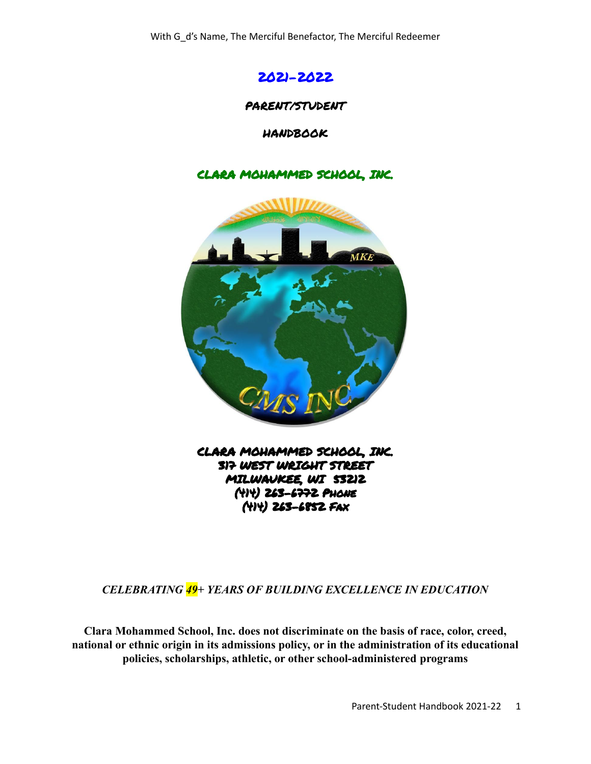

#### PARENT/STUDENT

HANDBOOK

#### CLARA MOHAMMED SCHOOL, INC.



CLARA MOHAMMED SCHOOL, INC. 317 WEST WRIGHT STREET MILWAUKEE, WI 53212 (414) 263-6772 Phone (414) 263-6852 Fax

*CELEBRATING 49+ YEARS OF BUILDING EXCELLENCE IN EDUCATION*

**Clara Mohammed School, Inc. does not discriminate on the basis of race, color, creed, national or ethnic origin in its admissions policy, or in the administration of its educational policies, scholarships, athletic, or other school-administered programs**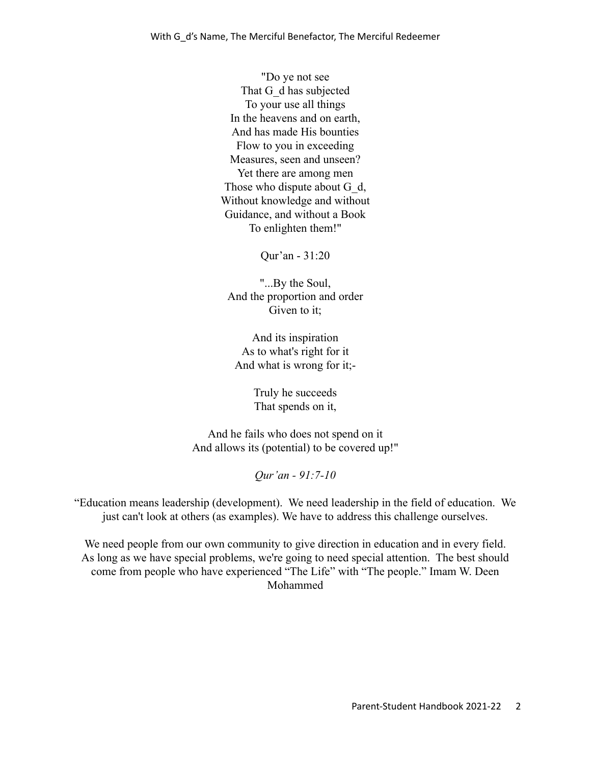"Do ye not see That G d has subjected To your use all things In the heavens and on earth, And has made His bounties Flow to you in exceeding Measures, seen and unseen? Yet there are among men Those who dispute about G\_d, Without knowledge and without Guidance, and without a Book To enlighten them!"

Qur'an - 31:20

"...By the Soul, And the proportion and order Given to it;

And its inspiration As to what's right for it And what is wrong for it;-

> Truly he succeeds That spends on it,

And he fails who does not spend on it And allows its (potential) to be covered up!"

*Qur'an - 91:7-10*

"Education means leadership (development). We need leadership in the field of education. We just can't look at others (as examples). We have to address this challenge ourselves.

We need people from our own community to give direction in education and in every field. As long as we have special problems, we're going to need special attention. The best should come from people who have experienced "The Life" with "The people." Imam W. Deen Mohammed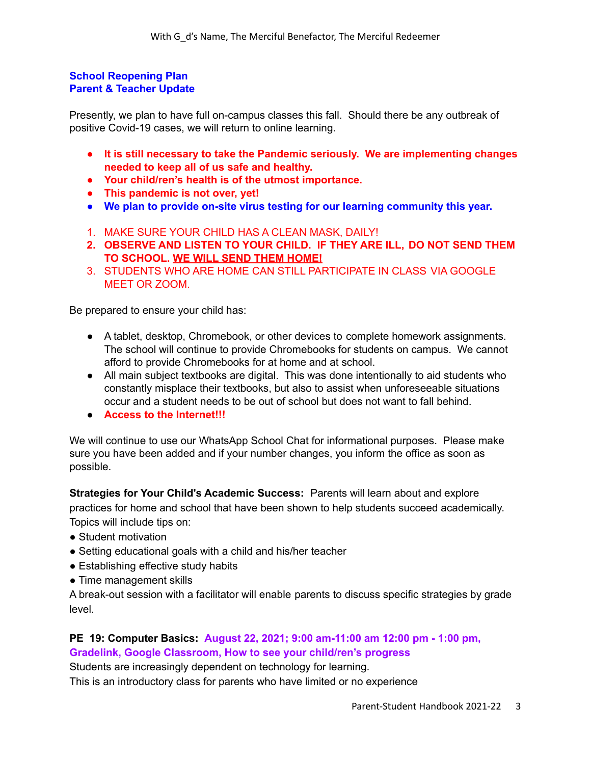#### **School Reopening Plan Parent & Teacher Update**

Presently, we plan to have full on-campus classes this fall. Should there be any outbreak of positive Covid-19 cases, we will return to online learning.

- **● It is still necessary to take the Pandemic seriously. We are implementing changes needed to keep all of us safe and healthy.**
- **● Your child/ren's health is of the utmost importance.**
- **● This pandemic is not over, yet!**
- **● We plan to provide on-site virus testing for our learning community this year.**
- 1. MAKE SURE YOUR CHILD HAS A CLEAN MASK, DAILY!
- **2. OBSERVE AND LISTEN TO YOUR CHILD. IF THEY ARE ILL, DO NOT SEND THEM TO SCHOOL. WE WILL SEND THEM HOME!**
- 3. STUDENTS WHO ARE HOME CAN STILL PARTICIPATE IN CLASS VIA GOOGLE MEET OR ZOOM.

Be prepared to ensure your child has:

- A tablet, desktop, Chromebook, or other devices to complete homework assignments. The school will continue to provide Chromebooks for students on campus. We cannot afford to provide Chromebooks for at home and at school.
- All main subject textbooks are digital. This was done intentionally to aid students who constantly misplace their textbooks, but also to assist when unforeseeable situations occur and a student needs to be out of school but does not want to fall behind.
- **Access to the Internet!!!**

We will continue to use our WhatsApp School Chat for informational purposes. Please make sure you have been added and if your number changes, you inform the office as soon as possible.

**Strategies for Your Child's Academic Success:** Parents will learn about and explore practices for home and school that have been shown to help students succeed academically. Topics will include tips on:

- Student motivation
- Setting educational goals with a child and his/her teacher
- Establishing effective study habits
- Time management skills

A break-out session with a facilitator will enable parents to discuss specific strategies by grade level.

# **PE 19: Computer Basics: August 22, 2021; 9:00 am-11:00 am 12:00 pm - 1:00 pm, Gradelink, Google Classroom, How to see your child/ren's progress**

Students are increasingly dependent on technology for learning. This is an introductory class for parents who have limited or no experience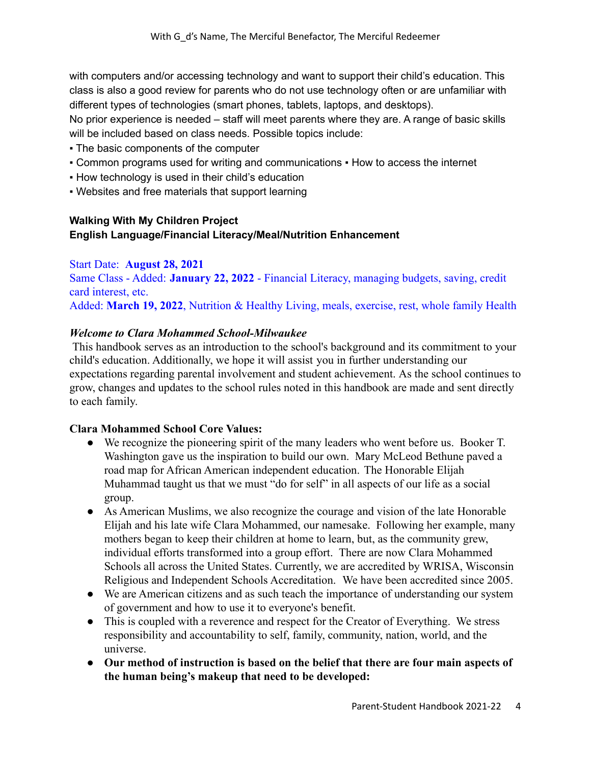with computers and/or accessing technology and want to support their child's education. This class is also a good review for parents who do not use technology often or are unfamiliar with different types of technologies (smart phones, tablets, laptops, and desktops).

No prior experience is needed – staff will meet parents where they are. A range of basic skills will be included based on class needs. Possible topics include:

- The basic components of the computer
- Common programs used for writing and communications How to access the internet
- **How technology is used in their child's education**
- Websites and free materials that support learning

# **Walking With My Children Project English Language/Financial Literacy/Meal/Nutrition Enhancement**

## Start Date: **August 28, 2021**

Same Class - Added: **January 22, 2022** - Financial Literacy, managing budgets, saving, credit card interest, etc. Added: **March 19, 2022**, Nutrition & Healthy Living, meals, exercise, rest, whole family Health

#### *Welcome to Clara Mohammed School-Milwaukee*

This handbook serves as an introduction to the school's background and its commitment to your child's education. Additionally, we hope it will assist you in further understanding our expectations regarding parental involvement and student achievement. As the school continues to grow, changes and updates to the school rules noted in this handbook are made and sent directly to each family.

#### **Clara Mohammed School Core Values:**

- We recognize the pioneering spirit of the many leaders who went before us. Booker T. Washington gave us the inspiration to build our own. Mary McLeod Bethune paved a road map for African American independent education. The Honorable Elijah Muhammad taught us that we must "do for self" in all aspects of our life as a social group.
- As American Muslims, we also recognize the courage and vision of the late Honorable Elijah and his late wife Clara Mohammed, our namesake. Following her example, many mothers began to keep their children at home to learn, but, as the community grew, individual efforts transformed into a group effort. There are now Clara Mohammed Schools all across the United States. Currently, we are accredited by WRISA, Wisconsin Religious and Independent Schools Accreditation. We have been accredited since 2005.
- We are American citizens and as such teach the importance of understanding our system of government and how to use it to everyone's benefit.
- This is coupled with a reverence and respect for the Creator of Everything. We stress responsibility and accountability to self, family, community, nation, world, and the universe.
- **Our method of instruction is based on the belief that there are four main aspects of the human being's makeup that need to be developed:**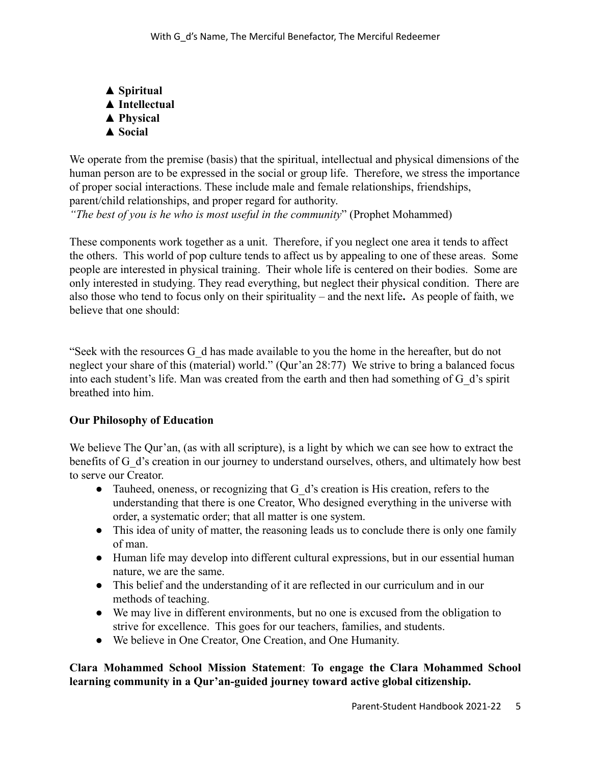**▲ Spiritual ▲ Intellectual ▲ Physical ▲ Social**

We operate from the premise (basis) that the spiritual, intellectual and physical dimensions of the human person are to be expressed in the social or group life. Therefore, we stress the importance of proper social interactions. These include male and female relationships, friendships, parent/child relationships, and proper regard for authority.

*"The best of you is he who is most useful in the community*" (Prophet Mohammed)

These components work together as a unit. Therefore, if you neglect one area it tends to affect the others. This world of pop culture tends to affect us by appealing to one of these areas. Some people are interested in physical training. Their whole life is centered on their bodies. Some are only interested in studying. They read everything, but neglect their physical condition. There are also those who tend to focus only on their spirituality – and the next life**.** As people of faith, we believe that one should:

"Seek with the resources G\_d has made available to you the home in the hereafter, but do not neglect your share of this (material) world." (Qur'an 28:77) We strive to bring a balanced focus into each student's life. Man was created from the earth and then had something of G\_d's spirit breathed into him.

#### **Our Philosophy of Education**

We believe The Our'an, (as with all scripture), is a light by which we can see how to extract the benefits of G\_d's creation in our journey to understand ourselves, others, and ultimately how best to serve our Creator.

- Tauheed, oneness, or recognizing that G d's creation is His creation, refers to the understanding that there is one Creator, Who designed everything in the universe with order, a systematic order; that all matter is one system.
- This idea of unity of matter, the reasoning leads us to conclude there is only one family of man.
- Human life may develop into different cultural expressions, but in our essential human nature, we are the same.
- This belief and the understanding of it are reflected in our curriculum and in our methods of teaching.
- We may live in different environments, but no one is excused from the obligation to strive for excellence. This goes for our teachers, families, and students.
- We believe in One Creator, One Creation, and One Humanity.

## **Clara Mohammed School Mission Statement**: **To engage the Clara Mohammed School learning community in a Qur'an-guided journey toward active global citizenship.**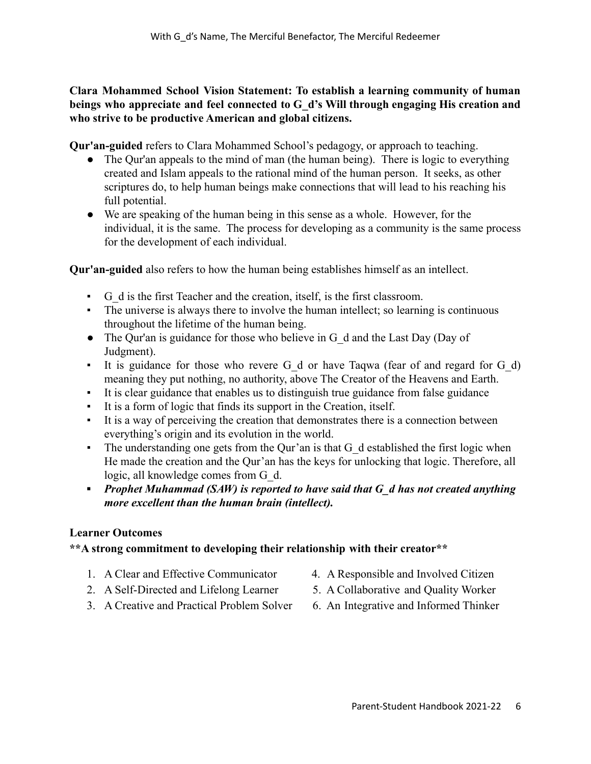**Clara Mohammed School Vision Statement: To establish a learning community of human beings who appreciate and feel connected to G\_d's Will through engaging His creation and who strive to be productive American and global citizens.**

**Qur'an-guided** refers to Clara Mohammed School's pedagogy, or approach to teaching.

- The Qur'an appeals to the mind of man (the human being). There is logic to everything created and Islam appeals to the rational mind of the human person. It seeks, as other scriptures do, to help human beings make connections that will lead to his reaching his full potential.
- **●** We are speaking of the human being in this sense as a whole. However, for the individual, it is the same. The process for developing as a community is the same process for the development of each individual.

**Qur'an-guided** also refers to how the human being establishes himself as an intellect.

- G\_d is the first Teacher and the creation, itself, is the first classroom.
- The universe is always there to involve the human intellect; so learning is continuous throughout the lifetime of the human being.
- The Our'an is guidance for those who believe in G\_d and the Last Day (Day of Judgment).
- It is guidance for those who revere G\_d or have Taqwa (fear of and regard for G\_d) meaning they put nothing, no authority, above The Creator of the Heavens and Earth.
- It is clear guidance that enables us to distinguish true guidance from false guidance
- It is a form of logic that finds its support in the Creation, itself.
- It is a way of perceiving the creation that demonstrates there is a connection between everything's origin and its evolution in the world.
- The understanding one gets from the Our'an is that G d established the first logic when He made the creation and the Qur'an has the keys for unlocking that logic. Therefore, all logic, all knowledge comes from G\_d.
- *▪ Prophet Muhammad (SAW) is reported to have said that G\_d has not created anything more excellent than the human brain (intellect).*

# **Learner Outcomes**

# **\*\*A strong commitment to developing their relationship with their creator\*\***

- 1. A Clear and Effective Communicator 4. A Responsible and Involved Citizen
- 
- 2. A Self-Directed and Lifelong Learner 5. A Collaborative and Quality Worker
- 
- 3. A Creative and Practical Problem Solver 6. An Integrative and Informed Thinker
-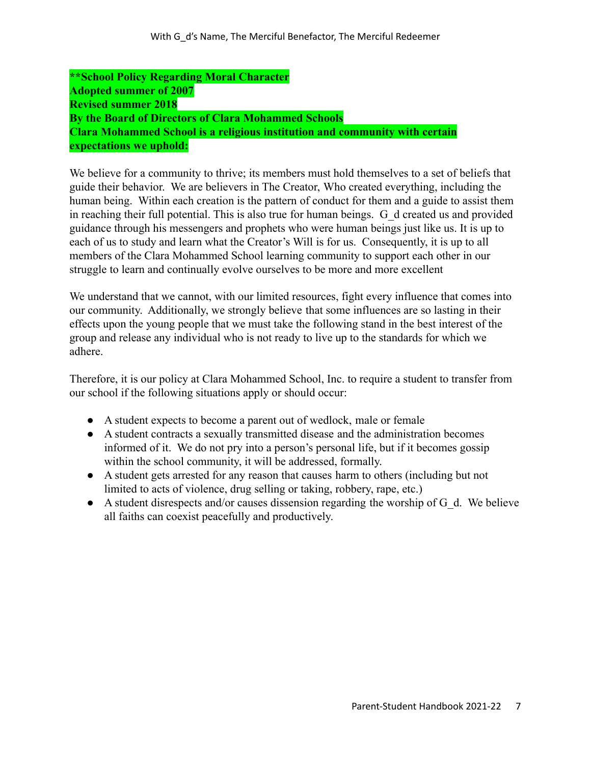**\*\*School Policy Regarding Moral Character Adopted summer of 2007 Revised summer 2018 By the Board of Directors of Clara Mohammed Schools Clara Mohammed School is a religious institution and community with certain expectations we uphold:**

We believe for a community to thrive; its members must hold themselves to a set of beliefs that guide their behavior. We are believers in The Creator, Who created everything, including the human being. Within each creation is the pattern of conduct for them and a guide to assist them in reaching their full potential. This is also true for human beings. G\_d created us and provided guidance through his messengers and prophets who were human beings just like us. It is up to each of us to study and learn what the Creator's Will is for us. Consequently, it is up to all members of the Clara Mohammed School learning community to support each other in our struggle to learn and continually evolve ourselves to be more and more excellent

We understand that we cannot, with our limited resources, fight every influence that comes into our community. Additionally, we strongly believe that some influences are so lasting in their effects upon the young people that we must take the following stand in the best interest of the group and release any individual who is not ready to live up to the standards for which we adhere.

Therefore, it is our policy at Clara Mohammed School, Inc. to require a student to transfer from our school if the following situations apply or should occur:

- A student expects to become a parent out of wedlock, male or female
- A student contracts a sexually transmitted disease and the administration becomes informed of it. We do not pry into a person's personal life, but if it becomes gossip within the school community, it will be addressed, formally.
- A student gets arrested for any reason that causes harm to others (including but not limited to acts of violence, drug selling or taking, robbery, rape, etc.)
- $\bullet$  A student disrespects and/or causes dissension regarding the worship of G\_d. We believe all faiths can coexist peacefully and productively.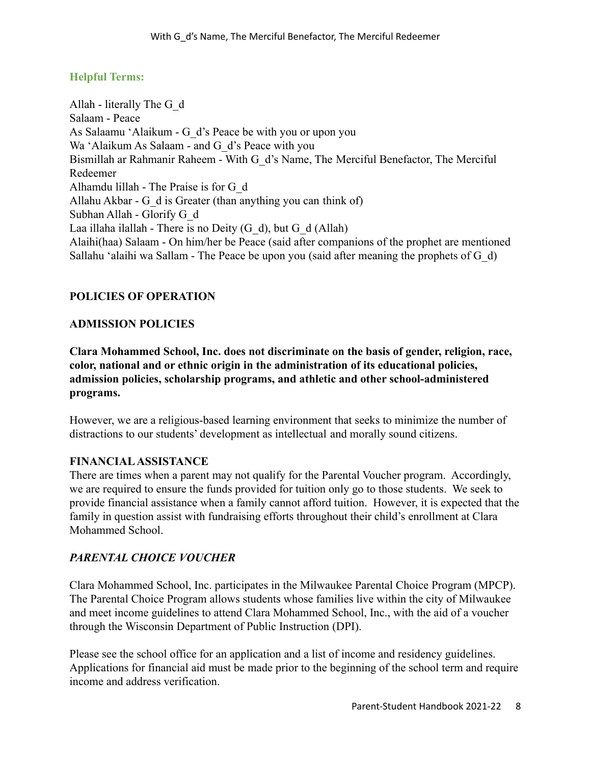## **Helpful Terms:**

Allah - literally The G\_d Salaam - Peace As Salaamu 'Alaikum - G\_d's Peace be with you or upon you Wa 'Alaikum As Salaam - and G d's Peace with you Bismillah ar Rahmanir Raheem - With G\_d's Name, The Merciful Benefactor, The Merciful Redeemer Alhamdu lillah - The Praise is for G\_d Allahu Akbar - G\_d is Greater (than anything you can think of) Subhan Allah - Glorify G\_d Laa illaha ilallah - There is no Deity  $(G_d)$ , but  $G_d (Allah)$ Alaihi(haa) Salaam - On him/her be Peace (said after companions of the prophet are mentioned Sallahu 'alaihi wa Sallam - The Peace be upon you (said after meaning the prophets of G\_d)

## **POLICIES OF OPERATION**

#### **ADMISSION POLICIES**

**Clara Mohammed School, Inc. does not discriminate on the basis of gender, religion, race, color, national and or ethnic origin in the administration of its educational policies, admission policies, scholarship programs, and athletic and other school-administered programs.**

However, we are a religious-based learning environment that seeks to minimize the number of distractions to our students' development as intellectual and morally sound citizens.

#### **FINANCIALASSISTANCE**

There are times when a parent may not qualify for the Parental Voucher program. Accordingly, we are required to ensure the funds provided for tuition only go to those students. We seek to provide financial assistance when a family cannot afford tuition. However, it is expected that the family in question assist with fundraising efforts throughout their child's enrollment at Clara Mohammed School.

#### *PARENTAL CHOICE VOUCHER*

Clara Mohammed School, Inc. participates in the Milwaukee Parental Choice Program (MPCP). The Parental Choice Program allows students whose families live within the city of Milwaukee and meet income guidelines to attend Clara Mohammed School, Inc., with the aid of a voucher through the Wisconsin Department of Public Instruction (DPI).

Please see the school office for an application and a list of income and residency guidelines. Applications for financial aid must be made prior to the beginning of the school term and require income and address verification.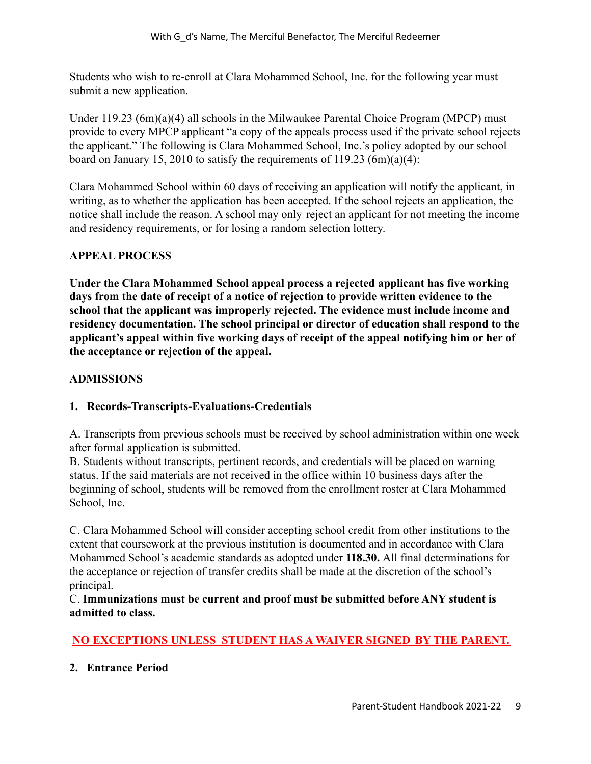Students who wish to re-enroll at Clara Mohammed School, Inc. for the following year must submit a new application.

Under  $119.23$  (6m)(a)(4) all schools in the Milwaukee Parental Choice Program (MPCP) must provide to every MPCP applicant "a copy of the appeals process used if the private school rejects the applicant." The following is Clara Mohammed School, Inc.'s policy adopted by our school board on January 15, 2010 to satisfy the requirements of 119.23  $(6m)(a)(4)$ :

Clara Mohammed School within 60 days of receiving an application will notify the applicant, in writing, as to whether the application has been accepted. If the school rejects an application, the notice shall include the reason. A school may only reject an applicant for not meeting the income and residency requirements, or for losing a random selection lottery.

## **APPEAL PROCESS**

**Under the Clara Mohammed School appeal process a rejected applicant has five working days from the date of receipt of a notice of rejection to provide written evidence to the school that the applicant was improperly rejected. The evidence must include income and residency documentation. The school principal or director of education shall respond to the applicant's appeal within five working days of receipt of the appeal notifying him or her of the acceptance or rejection of the appeal.**

# **ADMISSIONS**

# **1. Records-Transcripts-Evaluations-Credentials**

A. Transcripts from previous schools must be received by school administration within one week after formal application is submitted.

B. Students without transcripts, pertinent records, and credentials will be placed on warning status. If the said materials are not received in the office within 10 business days after the beginning of school, students will be removed from the enrollment roster at Clara Mohammed School, Inc.

C. Clara Mohammed School will consider accepting school credit from other institutions to the extent that coursework at the previous institution is documented and in accordance with Clara Mohammed School's academic standards as adopted under **118.30.** All final determinations for the acceptance or rejection of transfer credits shall be made at the discretion of the school's principal.

C. **Immunizations must be current and proof must be submitted before ANY student is admitted to class.**

# **NO EXCEPTIONS UNLESS STUDENT HAS A WAIVER SIGNED BY THE PARENT.**

#### **2. Entrance Period**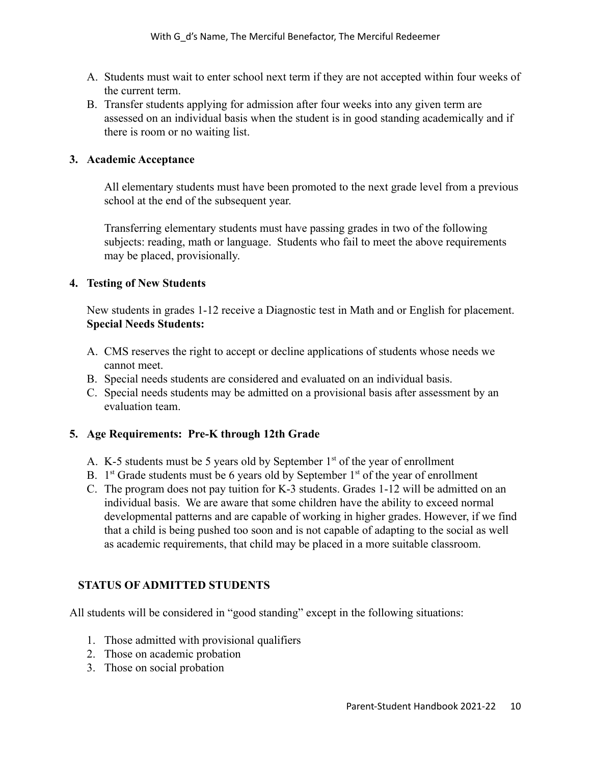- A. Students must wait to enter school next term if they are not accepted within four weeks of the current term.
- B. Transfer students applying for admission after four weeks into any given term are assessed on an individual basis when the student is in good standing academically and if there is room or no waiting list.

#### **3. Academic Acceptance**

All elementary students must have been promoted to the next grade level from a previous school at the end of the subsequent year.

Transferring elementary students must have passing grades in two of the following subjects: reading, math or language. Students who fail to meet the above requirements may be placed, provisionally.

## **4. Testing of New Students**

New students in grades 1-12 receive a Diagnostic test in Math and or English for placement. **Special Needs Students:**

- A. CMS reserves the right to accept or decline applications of students whose needs we cannot meet.
- B. Special needs students are considered and evaluated on an individual basis.
- C. Special needs students may be admitted on a provisional basis after assessment by an evaluation team.

# **5. Age Requirements: Pre-K through 12th Grade**

- A. K-5 students must be 5 years old by September  $1<sup>st</sup>$  of the year of enrollment
- B.  $1<sup>st</sup>$  Grade students must be 6 years old by September  $1<sup>st</sup>$  of the year of enrollment
- C. The program does not pay tuition for K-3 students. Grades 1-12 will be admitted on an individual basis. We are aware that some children have the ability to exceed normal developmental patterns and are capable of working in higher grades. However, if we find that a child is being pushed too soon and is not capable of adapting to the social as well as academic requirements, that child may be placed in a more suitable classroom.

# **STATUS OF ADMITTED STUDENTS**

All students will be considered in "good standing" except in the following situations:

- 1. Those admitted with provisional qualifiers
- 2. Those on academic probation
- 3. Those on social probation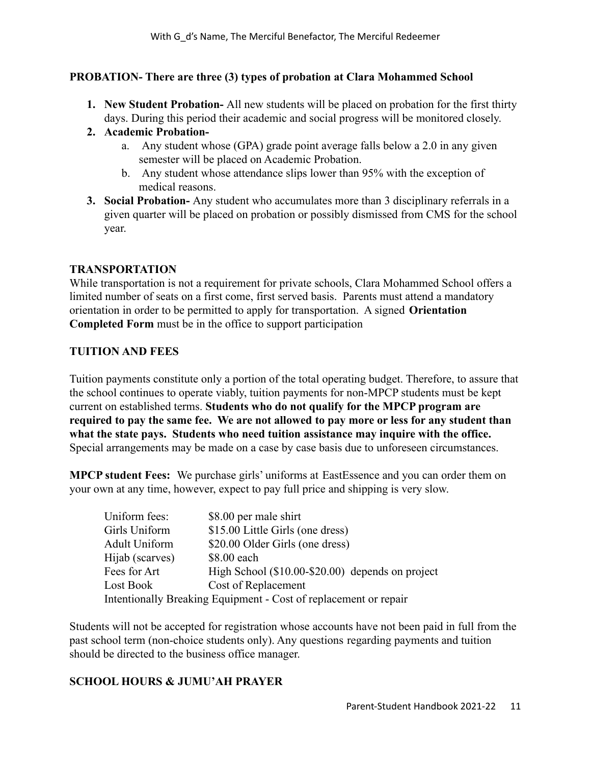## **PROBATION- There are three (3) types of probation at Clara Mohammed School**

- **1. New Student Probation-** All new students will be placed on probation for the first thirty days. During this period their academic and social progress will be monitored closely.
- **2. Academic Probation**
	- a. Any student whose (GPA) grade point average falls below a 2.0 in any given semester will be placed on Academic Probation.
	- b. Any student whose attendance slips lower than 95% with the exception of medical reasons.
- **3. Social Probation-** Any student who accumulates more than 3 disciplinary referrals in a given quarter will be placed on probation or possibly dismissed from CMS for the school year.

#### **TRANSPORTATION**

While transportation is not a requirement for private schools, Clara Mohammed School offers a limited number of seats on a first come, first served basis. Parents must attend a mandatory orientation in order to be permitted to apply for transportation. A signed **Orientation Completed Form** must be in the office to support participation

## **TUITION AND FEES**

Tuition payments constitute only a portion of the total operating budget. Therefore, to assure that the school continues to operate viably, tuition payments for non-MPCP students must be kept current on established terms. **Students who do not qualify for the MPCP program are required to pay the same fee. We are not allowed to pay more or less for any student than what the state pays. Students who need tuition assistance may inquire with the office.** Special arrangements may be made on a case by case basis due to unforeseen circumstances.

**MPCP student Fees:** We purchase girls' uniforms at EastEssence and you can order them on your own at any time, however, expect to pay full price and shipping is very slow.

| Uniform fees:        | \$8.00 per male shirt                                            |
|----------------------|------------------------------------------------------------------|
| Girls Uniform        | \$15.00 Little Girls (one dress)                                 |
| <b>Adult Uniform</b> | \$20.00 Older Girls (one dress)                                  |
| Hijab (scarves)      | \$8.00 each                                                      |
| Fees for Art         | High School (\$10.00-\$20.00) depends on project                 |
| Lost Book            | Cost of Replacement                                              |
|                      | Intentionally Breaking Equipment - Cost of replacement or repair |

Students will not be accepted for registration whose accounts have not been paid in full from the past school term (non-choice students only). Any questions regarding payments and tuition should be directed to the business office manager.

# **SCHOOL HOURS & JUMU'AH PRAYER**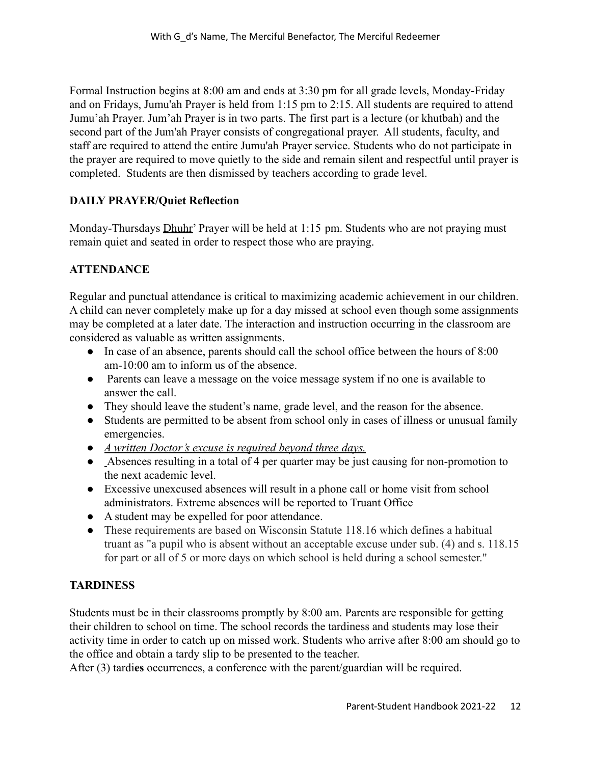Formal Instruction begins at 8:00 am and ends at 3:30 pm for all grade levels, Monday-Friday and on Fridays, Jumu'ah Prayer is held from 1:15 pm to 2:15. All students are required to attend Jumu'ah Prayer. Jum'ah Prayer is in two parts. The first part is a lecture (or khutbah) and the second part of the Jum'ah Prayer consists of congregational prayer. All students, faculty, and staff are required to attend the entire Jumu'ah Prayer service. Students who do not participate in the prayer are required to move quietly to the side and remain silent and respectful until prayer is completed. Students are then dismissed by teachers according to grade level.

# **DAILY PRAYER/Quiet Reflection**

Monday-Thursdays Dhuhr' Prayer will be held at 1:15 pm. Students who are not praying must remain quiet and seated in order to respect those who are praying.

# **ATTENDANCE**

Regular and punctual attendance is critical to maximizing academic achievement in our children. A child can never completely make up for a day missed at school even though some assignments may be completed at a later date. The interaction and instruction occurring in the classroom are considered as valuable as written assignments.

- In case of an absence, parents should call the school office between the hours of 8:00 am-10:00 am to inform us of the absence.
- Parents can leave a message on the voice message system if no one is available to answer the call.
- They should leave the student's name, grade level, and the reason for the absence.
- Students are permitted to be absent from school only in cases of illness or unusual family emergencies.
- *A written Doctor's excuse is required beyond three days.*
- Absences resulting in a total of 4 per quarter may be just causing for non-promotion to the next academic level.
- Excessive unexcused absences will result in a phone call or home visit from school administrators. Extreme absences will be reported to Truant Office
- A student may be expelled for poor attendance.
- These requirements are based on Wisconsin Statute 118.16 which defines a habitual truant as "a pupil who is absent without an acceptable excuse under sub. (4) and s. 118.15 for part or all of 5 or more days on which school is held during a school semester."

# **TARDINESS**

Students must be in their classrooms promptly by 8:00 am. Parents are responsible for getting their children to school on time. The school records the tardiness and students may lose their activity time in order to catch up on missed work. Students who arrive after 8:00 am should go to the office and obtain a tardy slip to be presented to the teacher.

After (3) tardi**es** occurrences, a conference with the parent/guardian will be required.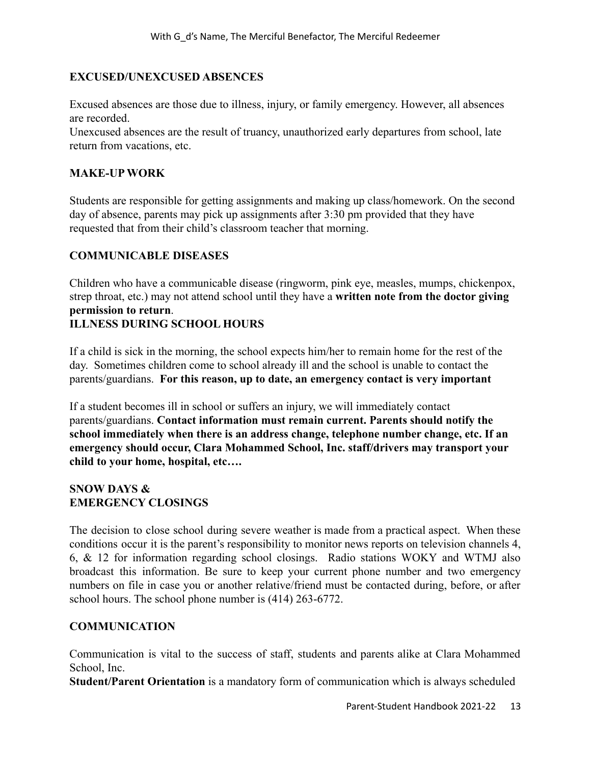#### **EXCUSED/UNEXCUSED ABSENCES**

Excused absences are those due to illness, injury, or family emergency. However, all absences are recorded.

Unexcused absences are the result of truancy, unauthorized early departures from school, late return from vacations, etc.

#### **MAKE-UP WORK**

Students are responsible for getting assignments and making up class/homework. On the second day of absence, parents may pick up assignments after 3:30 pm provided that they have requested that from their child's classroom teacher that morning.

## **COMMUNICABLE DISEASES**

Children who have a communicable disease (ringworm, pink eye, measles, mumps, chickenpox, strep throat, etc.) may not attend school until they have a **written note from the doctor giving permission to return**.

## **ILLNESS DURING SCHOOL HOURS**

If a child is sick in the morning, the school expects him/her to remain home for the rest of the day. Sometimes children come to school already ill and the school is unable to contact the parents/guardians. **For this reason, up to date, an emergency contact is very important**

If a student becomes ill in school or suffers an injury, we will immediately contact parents/guardians. **Contact information must remain current. Parents should notify the school immediately when there is an address change, telephone number change, etc. If an emergency should occur, Clara Mohammed School, Inc. staff/drivers may transport your child to your home, hospital, etc….**

#### **SNOW DAYS & EMERGENCY CLOSINGS**

The decision to close school during severe weather is made from a practical aspect. When these conditions occur it is the parent's responsibility to monitor news reports on television channels 4, 6, & 12 for information regarding school closings. Radio stations WOKY and WTMJ also broadcast this information. Be sure to keep your current phone number and two emergency numbers on file in case you or another relative/friend must be contacted during, before, or after school hours. The school phone number is (414) 263-6772.

# **COMMUNICATION**

Communication is vital to the success of staff, students and parents alike at Clara Mohammed School, Inc.

**Student/Parent Orientation** is a mandatory form of communication which is always scheduled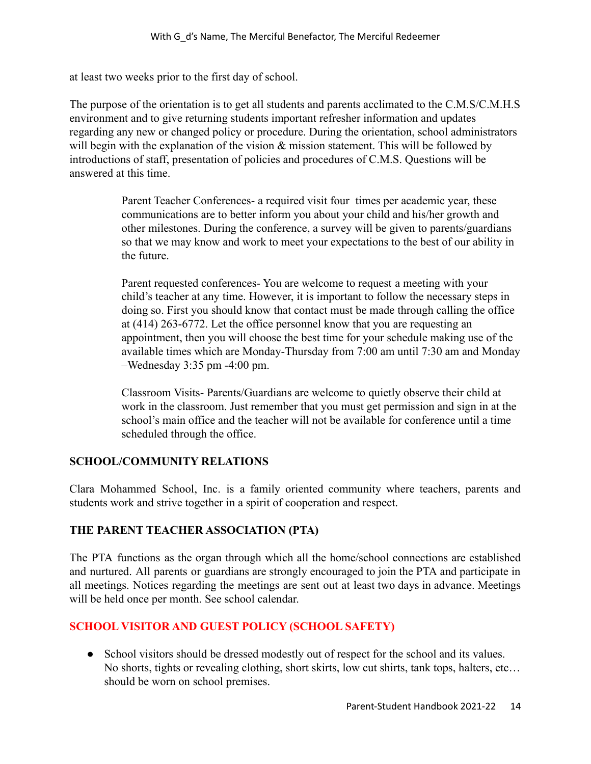at least two weeks prior to the first day of school.

The purpose of the orientation is to get all students and parents acclimated to the C.M.S/C.M.H.S environment and to give returning students important refresher information and updates regarding any new or changed policy or procedure. During the orientation, school administrators will begin with the explanation of the vision  $\&$  mission statement. This will be followed by introductions of staff, presentation of policies and procedures of C.M.S. Questions will be answered at this time.

> Parent Teacher Conferences- a required visit four times per academic year, these communications are to better inform you about your child and his/her growth and other milestones. During the conference, a survey will be given to parents/guardians so that we may know and work to meet your expectations to the best of our ability in the future.

Parent requested conferences- You are welcome to request a meeting with your child's teacher at any time. However, it is important to follow the necessary steps in doing so. First you should know that contact must be made through calling the office at (414) 263-6772. Let the office personnel know that you are requesting an appointment, then you will choose the best time for your schedule making use of the available times which are Monday-Thursday from 7:00 am until 7:30 am and Monday –Wednesday 3:35 pm -4:00 pm.

Classroom Visits- Parents/Guardians are welcome to quietly observe their child at work in the classroom. Just remember that you must get permission and sign in at the school's main office and the teacher will not be available for conference until a time scheduled through the office.

#### **SCHOOL/COMMUNITY RELATIONS**

Clara Mohammed School, Inc. is a family oriented community where teachers, parents and students work and strive together in a spirit of cooperation and respect.

# **THE PARENT TEACHER ASSOCIATION (PTA)**

The PTA functions as the organ through which all the home/school connections are established and nurtured. All parents or guardians are strongly encouraged to join the PTA and participate in all meetings. Notices regarding the meetings are sent out at least two days in advance. Meetings will be held once per month. See school calendar.

# **SCHOOL VISITOR AND GUEST POLICY (SCHOOL SAFETY)**

• School visitors should be dressed modestly out of respect for the school and its values. No shorts, tights or revealing clothing, short skirts, low cut shirts, tank tops, halters, etc… should be worn on school premises.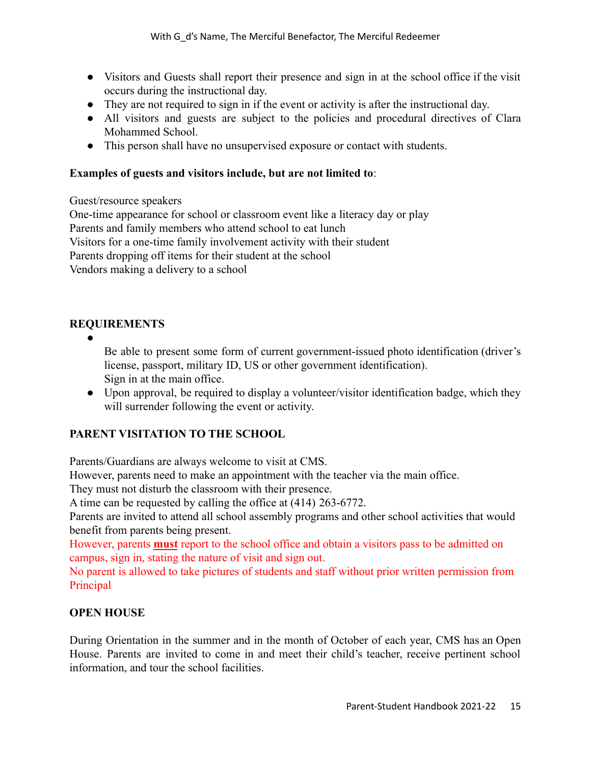- Visitors and Guests shall report their presence and sign in at the school office if the visit occurs during the instructional day.
- They are not required to sign in if the event or activity is after the instructional day.
- All visitors and guests are subject to the policies and procedural directives of Clara Mohammed School.
- This person shall have no unsupervised exposure or contact with students.

#### **Examples of guests and visitors include, but are not limited to**:

Guest/resource speakers

One-time appearance for school or classroom event like a literacy day or play Parents and family members who attend school to eat lunch Visitors for a one-time family involvement activity with their student Parents dropping off items for their student at the school Vendors making a delivery to a school

# **REQUIREMENTS**

●

Be able to present some form of current government-issued photo identification (driver's license, passport, military ID, US or other government identification). Sign in at the main office.

• Upon approval, be required to display a volunteer/visitor identification badge, which they will surrender following the event or activity.

# **PARENT VISITATION TO THE SCHOOL**

Parents/Guardians are always welcome to visit at CMS.

However, parents need to make an appointment with the teacher via the main office.

They must not disturb the classroom with their presence.

A time can be requested by calling the office at (414) 263-6772.

Parents are invited to attend all school assembly programs and other school activities that would benefit from parents being present.

However, parents **must** report to the school office and obtain a visitors pass to be admitted on campus, sign in, stating the nature of visit and sign out.

No parent is allowed to take pictures of students and staff without prior written permission from Principal

# **OPEN HOUSE**

During Orientation in the summer and in the month of October of each year, CMS has an Open House. Parents are invited to come in and meet their child's teacher, receive pertinent school information, and tour the school facilities.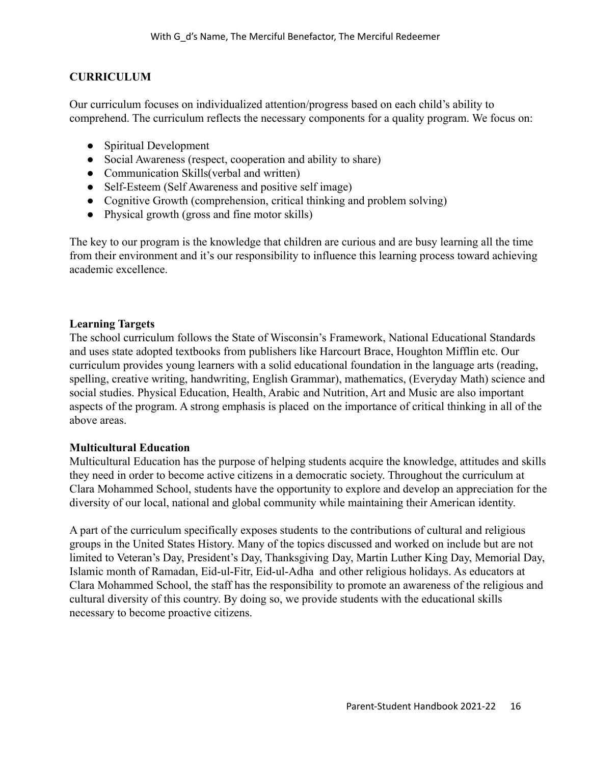## **CURRICULUM**

Our curriculum focuses on individualized attention/progress based on each child's ability to comprehend. The curriculum reflects the necessary components for a quality program. We focus on:

- Spiritual Development
- Social Awareness (respect, cooperation and ability to share)
- Communication Skills(verbal and written)
- Self-Esteem (Self Awareness and positive self image)
- Cognitive Growth (comprehension, critical thinking and problem solving)
- Physical growth (gross and fine motor skills)

The key to our program is the knowledge that children are curious and are busy learning all the time from their environment and it's our responsibility to influence this learning process toward achieving academic excellence.

#### **Learning Targets**

The school curriculum follows the State of Wisconsin's Framework, National Educational Standards and uses state adopted textbooks from publishers like Harcourt Brace, Houghton Mifflin etc. Our curriculum provides young learners with a solid educational foundation in the language arts (reading, spelling, creative writing, handwriting, English Grammar), mathematics, (Everyday Math) science and social studies. Physical Education, Health, Arabic and Nutrition, Art and Music are also important aspects of the program. A strong emphasis is placed on the importance of critical thinking in all of the above areas.

#### **Multicultural Education**

Multicultural Education has the purpose of helping students acquire the knowledge, attitudes and skills they need in order to become active citizens in a democratic society. Throughout the curriculum at Clara Mohammed School, students have the opportunity to explore and develop an appreciation for the diversity of our local, national and global community while maintaining their American identity.

A part of the curriculum specifically exposes students to the contributions of cultural and religious groups in the United States History. Many of the topics discussed and worked on include but are not limited to Veteran's Day, President's Day, Thanksgiving Day, Martin Luther King Day, Memorial Day, Islamic month of Ramadan, Eid-ul-Fitr, Eid-ul-Adha and other religious holidays. As educators at Clara Mohammed School, the staff has the responsibility to promote an awareness of the religious and cultural diversity of this country. By doing so, we provide students with the educational skills necessary to become proactive citizens.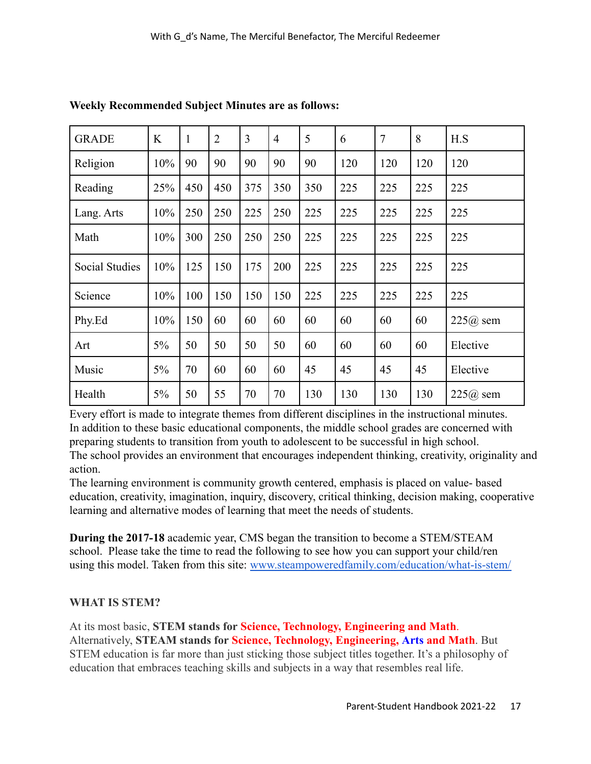| <b>GRADE</b>          | K   | 1   | $\overline{2}$ | 3   | $\overline{4}$ | 5   | 6   | $\overline{7}$ | 8   | H.S        |
|-----------------------|-----|-----|----------------|-----|----------------|-----|-----|----------------|-----|------------|
| Religion              | 10% | 90  | 90             | 90  | 90             | 90  | 120 | 120            | 120 | 120        |
| Reading               | 25% | 450 | 450            | 375 | 350            | 350 | 225 | 225            | 225 | 225        |
| Lang. Arts            | 10% | 250 | 250            | 225 | 250            | 225 | 225 | 225            | 225 | 225        |
| Math                  | 10% | 300 | 250            | 250 | 250            | 225 | 225 | 225            | 225 | 225        |
| <b>Social Studies</b> | 10% | 125 | 150            | 175 | 200            | 225 | 225 | 225            | 225 | 225        |
| Science               | 10% | 100 | 150            | 150 | 150            | 225 | 225 | 225            | 225 | 225        |
| Phy.Ed                | 10% | 150 | 60             | 60  | 60             | 60  | 60  | 60             | 60  | $225@$ sem |
| Art                   | 5%  | 50  | 50             | 50  | 50             | 60  | 60  | 60             | 60  | Elective   |
| Music                 | 5%  | 70  | 60             | 60  | 60             | 45  | 45  | 45             | 45  | Elective   |
| Health                | 5%  | 50  | 55             | 70  | 70             | 130 | 130 | 130            | 130 | $225@$ sem |

**Weekly Recommended Subject Minutes are as follows:**

Every effort is made to integrate themes from different disciplines in the instructional minutes. In addition to these basic educational components, the middle school grades are concerned with preparing students to transition from youth to adolescent to be successful in high school. The school provides an environment that encourages independent thinking, creativity, originality and action.

The learning environment is community growth centered, emphasis is placed on value- based education, creativity, imagination, inquiry, discovery, critical thinking, decision making, cooperative learning and alternative modes of learning that meet the needs of students.

**During the 2017-18** academic year, CMS began the transition to become a STEM/STEAM school. Please take the time to read the following to see how you can support your child/ren using this model. Taken from this site: [www.steampoweredfamily.com/education/what-is-stem/](http://www.steampoweredfamily.com/education/what-is-stem/)

# **WHAT IS STEM?**

At its most basic, **STEM stands for Science, Technology, Engineering and Math**. Alternatively, **STEAM stands for Science, Technology, Engineering, Arts and Math**. But STEM education is far more than just sticking those subject titles together. It's a philosophy of education that embraces teaching skills and subjects in a way that resembles real life.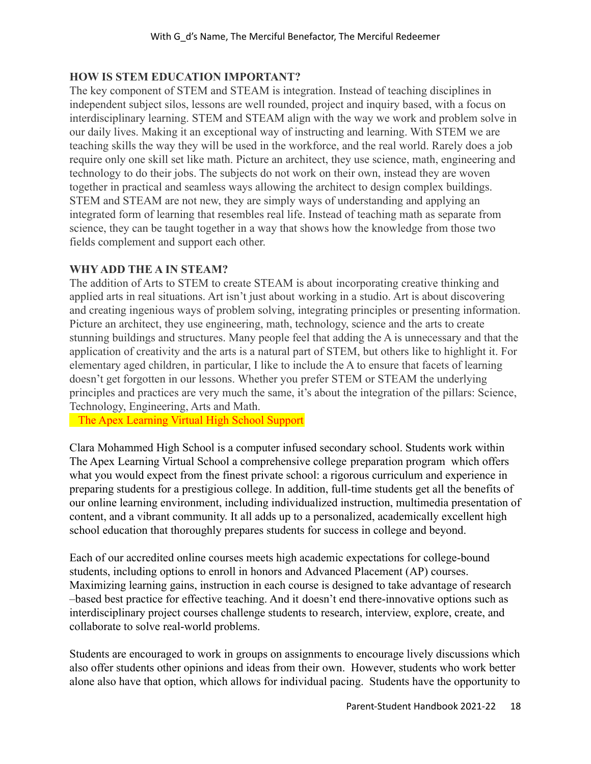## **HOW IS STEM EDUCATION IMPORTANT?**

The key component of STEM and STEAM is integration. Instead of teaching disciplines in independent subject silos, lessons are well rounded, project and inquiry based, with a focus on interdisciplinary learning. STEM and STEAM align with the way we work and problem solve in our daily lives. Making it an exceptional way of instructing and learning. With STEM we are teaching skills the way they will be used in the workforce, and the real world. Rarely does a job require only one skill set like math. Picture an architect, they use science, math, engineering and technology to do their jobs. The subjects do not work on their own, instead they are woven together in practical and seamless ways allowing the architect to design complex buildings. STEM and STEAM are not new, they are simply ways of understanding and applying an integrated form of learning that resembles real life. Instead of teaching math as separate from science, they can be taught together in a way that shows how the knowledge from those two fields complement and support each other.

#### **WHY ADD THE A IN STEAM?**

The addition of Arts to STEM to create STEAM is about incorporating creative thinking and applied arts in real situations. Art isn't just about working in a studio. Art is about discovering and creating ingenious ways of problem solving, integrating principles or presenting information. Picture an architect, they use engineering, math, technology, science and the arts to create stunning buildings and structures. Many people feel that adding the A is unnecessary and that the application of creativity and the arts is a natural part of STEM, but others like to highlight it. For elementary aged children, in particular, I like to include the A to ensure that facets of learning doesn't get forgotten in our lessons. Whether you prefer STEM or STEAM the underlying principles and practices are very much the same, it's about the integration of the pillars: Science, Technology, Engineering, Arts and Math.

The Apex Learning Virtual High School Support

Clara Mohammed High School is a computer infused secondary school. Students work within The Apex Learning Virtual School a comprehensive college preparation program which offers what you would expect from the finest private school: a rigorous curriculum and experience in preparing students for a prestigious college. In addition, full-time students get all the benefits of our online learning environment, including individualized instruction, multimedia presentation of content, and a vibrant community. It all adds up to a personalized, academically excellent high school education that thoroughly prepares students for success in college and beyond.

Each of our accredited online courses meets high academic expectations for college-bound students, including options to enroll in honors and Advanced Placement (AP) courses. Maximizing learning gains, instruction in each course is designed to take advantage of research –based best practice for effective teaching. And it doesn't end there-innovative options such as interdisciplinary project courses challenge students to research, interview, explore, create, and collaborate to solve real-world problems.

Students are encouraged to work in groups on assignments to encourage lively discussions which also offer students other opinions and ideas from their own. However, students who work better alone also have that option, which allows for individual pacing. Students have the opportunity to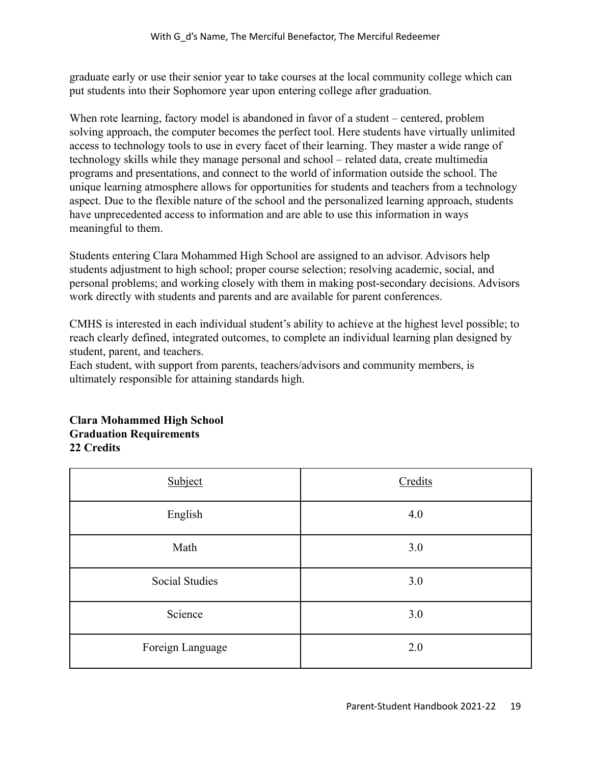graduate early or use their senior year to take courses at the local community college which can put students into their Sophomore year upon entering college after graduation.

When rote learning, factory model is abandoned in favor of a student – centered, problem solving approach, the computer becomes the perfect tool. Here students have virtually unlimited access to technology tools to use in every facet of their learning. They master a wide range of technology skills while they manage personal and school – related data, create multimedia programs and presentations, and connect to the world of information outside the school. The unique learning atmosphere allows for opportunities for students and teachers from a technology aspect. Due to the flexible nature of the school and the personalized learning approach, students have unprecedented access to information and are able to use this information in ways meaningful to them.

Students entering Clara Mohammed High School are assigned to an advisor. Advisors help students adjustment to high school; proper course selection; resolving academic, social, and personal problems; and working closely with them in making post-secondary decisions. Advisors work directly with students and parents and are available for parent conferences.

CMHS is interested in each individual student's ability to achieve at the highest level possible; to reach clearly defined, integrated outcomes, to complete an individual learning plan designed by student, parent, and teachers.

Each student, with support from parents, teachers/advisors and community members, is ultimately responsible for attaining standards high.

| Subject               | Credits |
|-----------------------|---------|
| English               | 4.0     |
| Math                  | 3.0     |
| <b>Social Studies</b> | 3.0     |
| Science               | 3.0     |
| Foreign Language      | 2.0     |

#### **Clara Mohammed High School Graduation Requirements 22 Credits**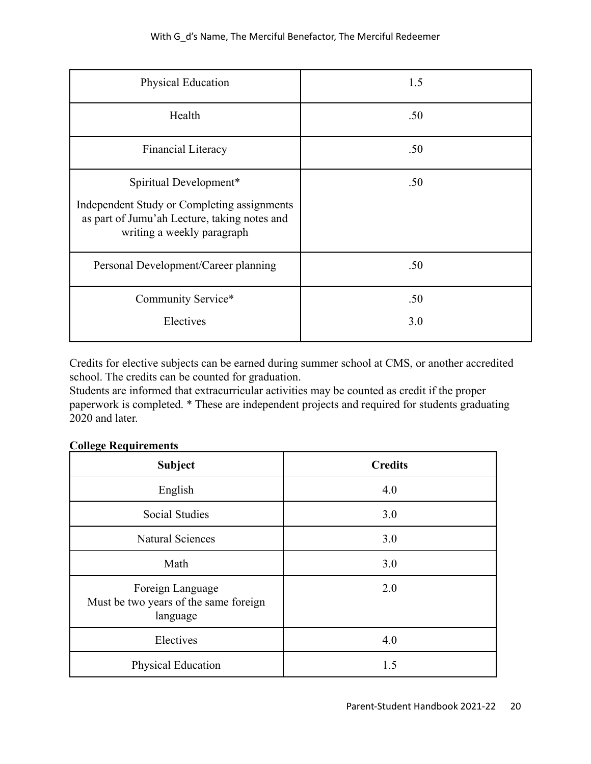| Physical Education                                                                                                                                  | 1.5        |
|-----------------------------------------------------------------------------------------------------------------------------------------------------|------------|
| Health                                                                                                                                              | .50        |
| Financial Literacy                                                                                                                                  | .50        |
| Spiritual Development*<br>Independent Study or Completing assignments<br>as part of Jumu'ah Lecture, taking notes and<br>writing a weekly paragraph | .50        |
| Personal Development/Career planning                                                                                                                | .50        |
| Community Service*<br>Electives                                                                                                                     | .50<br>3.0 |

Credits for elective subjects can be earned during summer school at CMS, or another accredited school. The credits can be counted for graduation.

Students are informed that extracurricular activities may be counted as credit if the proper paperwork is completed. \* These are independent projects and required for students graduating 2020 and later.

| <b>Subject</b>                                                        | <b>Credits</b> |
|-----------------------------------------------------------------------|----------------|
| English                                                               | 4.0            |
| <b>Social Studies</b>                                                 | 3.0            |
| <b>Natural Sciences</b>                                               | 3.0            |
| Math                                                                  | 3.0            |
| Foreign Language<br>Must be two years of the same foreign<br>language | 2.0            |
| Electives                                                             | 4.0            |
| Physical Education                                                    | 1.5            |

#### **College Requirements**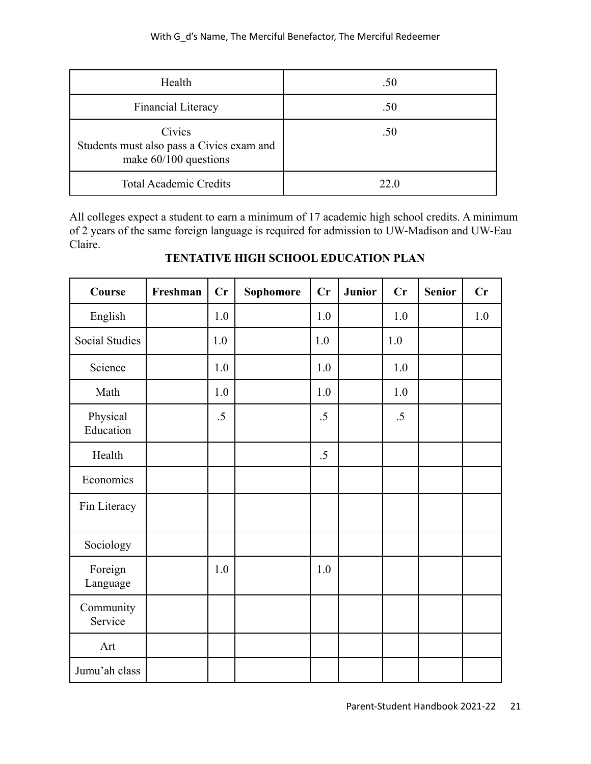| Health                                                                         | .50  |
|--------------------------------------------------------------------------------|------|
| Financial Literacy                                                             | .50  |
| Civics<br>Students must also pass a Civics exam and<br>make $60/100$ questions | .50  |
| <b>Total Academic Credits</b>                                                  | 22 O |

All colleges expect a student to earn a minimum of 17 academic high school credits. A minimum of 2 years of the same foreign language is required for admission to UW-Madison and UW-Eau Claire.

| Course                | Freshman | Cr      | Sophomore | Cr     | <b>Junior</b> | Cr     | <b>Senior</b> | Cr  |
|-----------------------|----------|---------|-----------|--------|---------------|--------|---------------|-----|
| English               |          | 1.0     |           | 1.0    |               | 1.0    |               | 1.0 |
| <b>Social Studies</b> |          | 1.0     |           | 1.0    |               | $1.0$  |               |     |
| Science               |          | 1.0     |           | 1.0    |               | 1.0    |               |     |
| Math                  |          | 1.0     |           | 1.0    |               | 1.0    |               |     |
| Physical<br>Education |          | $.5\,$  |           | $.5\,$ |               | $.5\,$ |               |     |
| Health                |          |         |           | $.5\,$ |               |        |               |     |
| Economics             |          |         |           |        |               |        |               |     |
| Fin Literacy          |          |         |           |        |               |        |               |     |
| Sociology             |          |         |           |        |               |        |               |     |
| Foreign<br>Language   |          | $1.0\,$ |           | 1.0    |               |        |               |     |
| Community<br>Service  |          |         |           |        |               |        |               |     |
| Art                   |          |         |           |        |               |        |               |     |
| Jumu'ah class         |          |         |           |        |               |        |               |     |

# **TENTATIVE HIGH SCHOOL EDUCATION PLAN**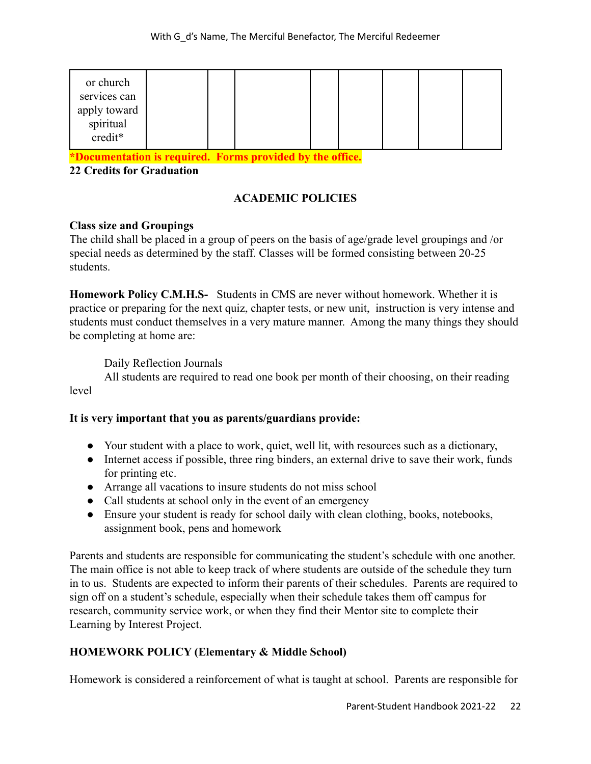|  |  | or church<br>services can<br>apply toward<br>spiritual<br>credit* |  |  |  |  |  |  |  |  |
|--|--|-------------------------------------------------------------------|--|--|--|--|--|--|--|--|
|--|--|-------------------------------------------------------------------|--|--|--|--|--|--|--|--|

**\*Documentation is required. Forms provided by the office.**

**22 Credits for Graduation**

## **ACADEMIC POLICIES**

#### **Class size and Groupings**

The child shall be placed in a group of peers on the basis of age/grade level groupings and /or special needs as determined by the staff. Classes will be formed consisting between 20-25 students.

**Homework Policy C.M.H.S-** Students in CMS are never without homework. Whether it is practice or preparing for the next quiz, chapter tests, or new unit, instruction is very intense and students must conduct themselves in a very mature manner. Among the many things they should be completing at home are:

Daily Reflection Journals

All students are required to read one book per month of their choosing, on their reading level

#### **It is very important that you as parents/guardians provide:**

- Your student with a place to work, quiet, well lit, with resources such as a dictionary,
- Internet access if possible, three ring binders, an external drive to save their work, funds for printing etc.
- Arrange all vacations to insure students do not miss school
- Call students at school only in the event of an emergency
- Ensure your student is ready for school daily with clean clothing, books, notebooks, assignment book, pens and homework

Parents and students are responsible for communicating the student's schedule with one another. The main office is not able to keep track of where students are outside of the schedule they turn in to us. Students are expected to inform their parents of their schedules. Parents are required to sign off on a student's schedule, especially when their schedule takes them off campus for research, community service work, or when they find their Mentor site to complete their Learning by Interest Project.

#### **HOMEWORK POLICY (Elementary & Middle School)**

Homework is considered a reinforcement of what is taught at school. Parents are responsible for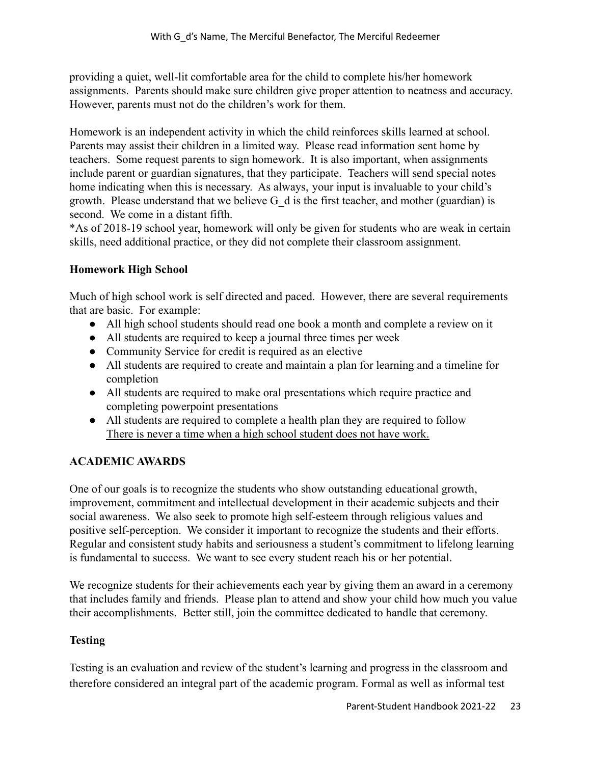providing a quiet, well-lit comfortable area for the child to complete his/her homework assignments. Parents should make sure children give proper attention to neatness and accuracy. However, parents must not do the children's work for them.

Homework is an independent activity in which the child reinforces skills learned at school. Parents may assist their children in a limited way. Please read information sent home by teachers. Some request parents to sign homework. It is also important, when assignments include parent or guardian signatures, that they participate. Teachers will send special notes home indicating when this is necessary. As always, your input is invaluable to your child's growth. Please understand that we believe  $G_d$  is the first teacher, and mother (guardian) is second. We come in a distant fifth.

\*As of 2018-19 school year, homework will only be given for students who are weak in certain skills, need additional practice, or they did not complete their classroom assignment.

# **Homework High School**

Much of high school work is self directed and paced. However, there are several requirements that are basic. For example:

- All high school students should read one book a month and complete a review on it
- All students are required to keep a journal three times per week
- Community Service for credit is required as an elective
- All students are required to create and maintain a plan for learning and a timeline for completion
- All students are required to make oral presentations which require practice and completing powerpoint presentations
- All students are required to complete a health plan they are required to follow There is never a time when a high school student does not have work.

# **ACADEMIC AWARDS**

One of our goals is to recognize the students who show outstanding educational growth, improvement, commitment and intellectual development in their academic subjects and their social awareness. We also seek to promote high self-esteem through religious values and positive self-perception. We consider it important to recognize the students and their efforts. Regular and consistent study habits and seriousness a student's commitment to lifelong learning is fundamental to success. We want to see every student reach his or her potential.

We recognize students for their achievements each year by giving them an award in a ceremony that includes family and friends. Please plan to attend and show your child how much you value their accomplishments. Better still, join the committee dedicated to handle that ceremony.

# **Testing**

Testing is an evaluation and review of the student's learning and progress in the classroom and therefore considered an integral part of the academic program. Formal as well as informal test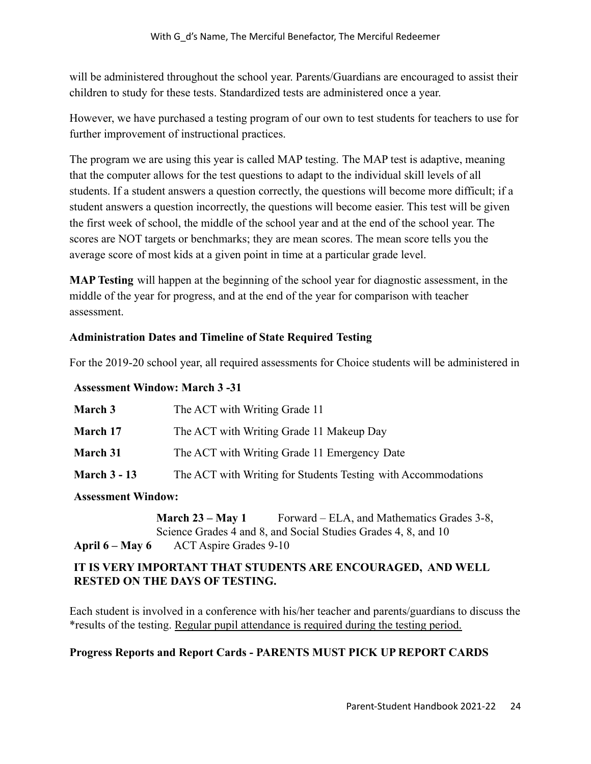will be administered throughout the school year. Parents/Guardians are encouraged to assist their children to study for these tests. Standardized tests are administered once a year.

However, we have purchased a testing program of our own to test students for teachers to use for further improvement of instructional practices.

The program we are using this year is called MAP testing. The MAP test is adaptive, meaning that the computer allows for the test questions to adapt to the individual skill levels of all students. If a student answers a question correctly, the questions will become more difficult; if a student answers a question incorrectly, the questions will become easier. This test will be given the first week of school, the middle of the school year and at the end of the school year. The scores are NOT targets or benchmarks; they are mean scores. The mean score tells you the average score of most kids at a given point in time at a particular grade level.

**MAP Testing** will happen at the beginning of the school year for diagnostic assessment, in the middle of the year for progress, and at the end of the year for comparison with teacher assessment.

## **Administration Dates and Timeline of State Required Testing**

For the 2019-20 school year, all required assessments for Choice students will be administered in

#### **Assessment Window: March 3 -31**

| The ACT with Writing Grade 11                                 |
|---------------------------------------------------------------|
| The ACT with Writing Grade 11 Makeup Day                      |
| The ACT with Writing Grade 11 Emergency Date                  |
| The ACT with Writing for Students Testing with Accommodations |
|                                                               |

#### **Assessment Window:**

**March 23 – May 1** Forward – ELA, and Mathematics Grades 3-8, Science Grades 4 and 8, and Social Studies Grades 4, 8, and 10 **April 6 – May 6** ACT Aspire Grades 9-10

#### **IT IS VERY IMPORTANT THAT STUDENTS ARE ENCOURAGED, AND WELL RESTED ON THE DAYS OF TESTING.**

Each student is involved in a conference with his/her teacher and parents/guardians to discuss the \*results of the testing. Regular pupil attendance is required during the testing period.

#### **Progress Reports and Report Cards - PARENTS MUST PICK UP REPORT CARDS**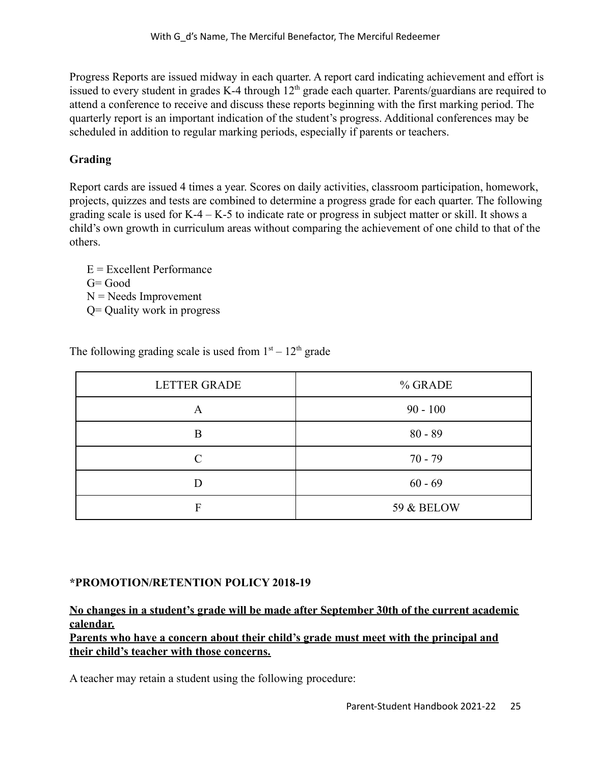Progress Reports are issued midway in each quarter. A report card indicating achievement and effort is issued to every student in grades K-4 through  $12<sup>th</sup>$  grade each quarter. Parents/guardians are required to attend a conference to receive and discuss these reports beginning with the first marking period. The quarterly report is an important indication of the student's progress. Additional conferences may be scheduled in addition to regular marking periods, especially if parents or teachers.

# **Grading**

Report cards are issued 4 times a year. Scores on daily activities, classroom participation, homework, projects, quizzes and tests are combined to determine a progress grade for each quarter. The following grading scale is used for K-4 – K-5 to indicate rate or progress in subject matter or skill. It shows a child's own growth in curriculum areas without comparing the achievement of one child to that of the others.

- $E =$  Excellent Performance
- $G = Good$
- $N =$ Needs Improvement
- Q= Quality work in progress

| <b>LETTER GRADE</b> | % GRADE               |
|---------------------|-----------------------|
| A                   | $90 - 100$            |
| B                   | $80 - 89$             |
| $\cap$              | $70 - 79$             |
|                     | $60 - 69$             |
| F                   | <b>59 &amp; BELOW</b> |

The following grading scale is used from  $1<sup>st</sup> - 12<sup>th</sup>$  grade

# **\*PROMOTION/RETENTION POLICY 2018-19**

# **No changes in a student's grade will be made after September 30th of the current academic calendar.**

**Parents who have a concern about their child's grade must meet with the principal and their child's teacher with those concerns.**

A teacher may retain a student using the following procedure: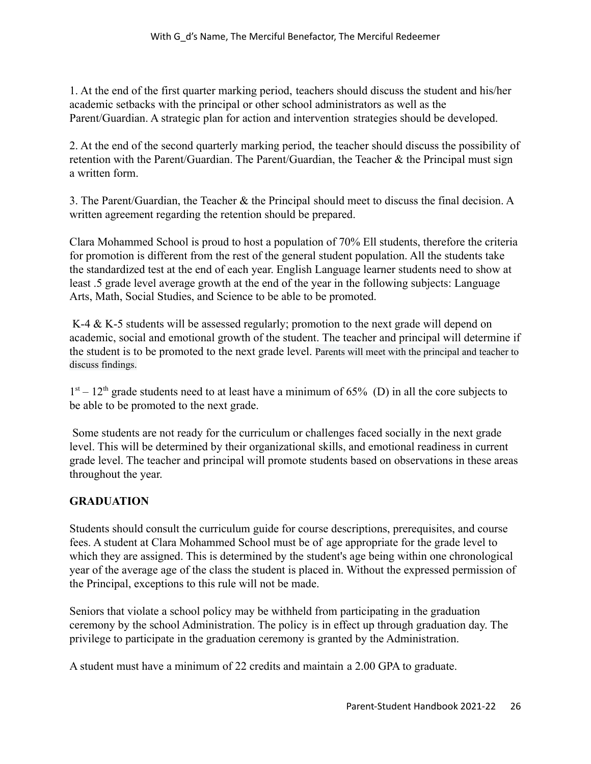1. At the end of the first quarter marking period, teachers should discuss the student and his/her academic setbacks with the principal or other school administrators as well as the Parent/Guardian. A strategic plan for action and intervention strategies should be developed.

2. At the end of the second quarterly marking period, the teacher should discuss the possibility of retention with the Parent/Guardian. The Parent/Guardian, the Teacher & the Principal must sign a written form.

3. The Parent/Guardian, the Teacher & the Principal should meet to discuss the final decision. A written agreement regarding the retention should be prepared.

Clara Mohammed School is proud to host a population of 70% Ell students, therefore the criteria for promotion is different from the rest of the general student population. All the students take the standardized test at the end of each year. English Language learner students need to show at least .5 grade level average growth at the end of the year in the following subjects: Language Arts, Math, Social Studies, and Science to be able to be promoted.

K-4 & K-5 students will be assessed regularly; promotion to the next grade will depend on academic, social and emotional growth of the student. The teacher and principal will determine if the student is to be promoted to the next grade level. Parents will meet with the principal and teacher to discuss findings.

 $1<sup>st</sup> - 12<sup>th</sup>$  grade students need to at least have a minimum of 65% (D) in all the core subjects to be able to be promoted to the next grade.

Some students are not ready for the curriculum or challenges faced socially in the next grade level. This will be determined by their organizational skills, and emotional readiness in current grade level. The teacher and principal will promote students based on observations in these areas throughout the year.

# **GRADUATION**

Students should consult the curriculum guide for course descriptions, prerequisites, and course fees. A student at Clara Mohammed School must be of age appropriate for the grade level to which they are assigned. This is determined by the student's age being within one chronological year of the average age of the class the student is placed in. Without the expressed permission of the Principal, exceptions to this rule will not be made.

Seniors that violate a school policy may be withheld from participating in the graduation ceremony by the school Administration. The policy is in effect up through graduation day. The privilege to participate in the graduation ceremony is granted by the Administration.

A student must have a minimum of 22 credits and maintain a 2.00 GPA to graduate.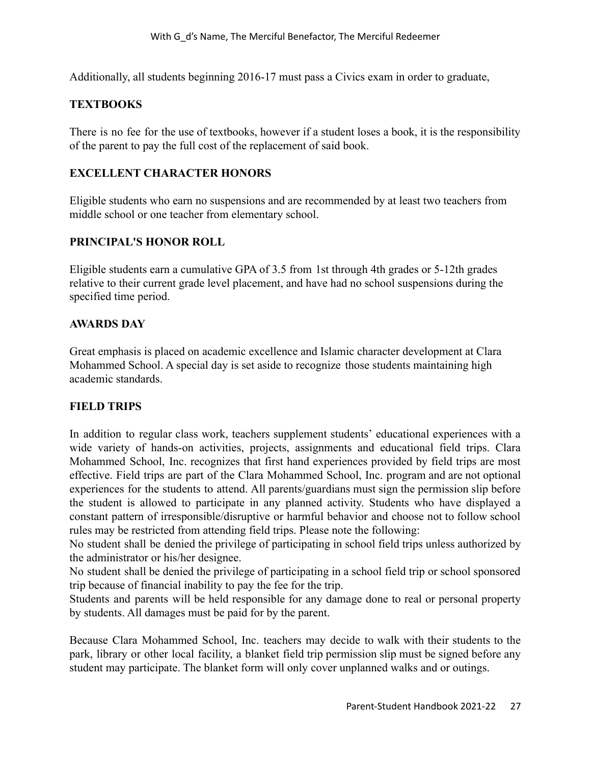Additionally, all students beginning 2016-17 must pass a Civics exam in order to graduate,

#### **TEXTBOOKS**

There is no fee for the use of textbooks, however if a student loses a book, it is the responsibility of the parent to pay the full cost of the replacement of said book.

## **EXCELLENT CHARACTER HONORS**

Eligible students who earn no suspensions and are recommended by at least two teachers from middle school or one teacher from elementary school.

## **PRINCIPAL'S HONOR ROLL**

Eligible students earn a cumulative GPA of 3.5 from 1st through 4th grades or 5-12th grades relative to their current grade level placement, and have had no school suspensions during the specified time period.

## **AWARDS DAY**

Great emphasis is placed on academic excellence and Islamic character development at Clara Mohammed School. A special day is set aside to recognize those students maintaining high academic standards.

#### **FIELD TRIPS**

In addition to regular class work, teachers supplement students' educational experiences with a wide variety of hands-on activities, projects, assignments and educational field trips. Clara Mohammed School, Inc. recognizes that first hand experiences provided by field trips are most effective. Field trips are part of the Clara Mohammed School, Inc. program and are not optional experiences for the students to attend. All parents/guardians must sign the permission slip before the student is allowed to participate in any planned activity. Students who have displayed a constant pattern of irresponsible/disruptive or harmful behavior and choose not to follow school rules may be restricted from attending field trips. Please note the following:

No student shall be denied the privilege of participating in school field trips unless authorized by the administrator or his/her designee.

No student shall be denied the privilege of participating in a school field trip or school sponsored trip because of financial inability to pay the fee for the trip.

Students and parents will be held responsible for any damage done to real or personal property by students. All damages must be paid for by the parent.

Because Clara Mohammed School, Inc. teachers may decide to walk with their students to the park, library or other local facility, a blanket field trip permission slip must be signed before any student may participate. The blanket form will only cover unplanned walks and or outings.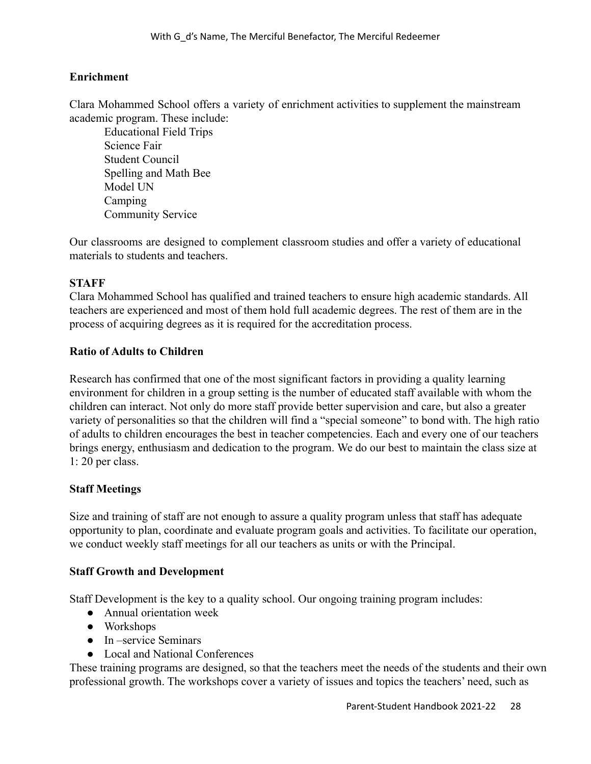#### **Enrichment**

Clara Mohammed School offers a variety of enrichment activities to supplement the mainstream academic program. These include:

Educational Field Trips Science Fair Student Council Spelling and Math Bee Model UN Camping Community Service

Our classrooms are designed to complement classroom studies and offer a variety of educational materials to students and teachers.

#### **STAFF**

Clara Mohammed School has qualified and trained teachers to ensure high academic standards. All teachers are experienced and most of them hold full academic degrees. The rest of them are in the process of acquiring degrees as it is required for the accreditation process.

#### **Ratio of Adults to Children**

Research has confirmed that one of the most significant factors in providing a quality learning environment for children in a group setting is the number of educated staff available with whom the children can interact. Not only do more staff provide better supervision and care, but also a greater variety of personalities so that the children will find a "special someone" to bond with. The high ratio of adults to children encourages the best in teacher competencies. Each and every one of our teachers brings energy, enthusiasm and dedication to the program. We do our best to maintain the class size at 1: 20 per class.

#### **Staff Meetings**

Size and training of staff are not enough to assure a quality program unless that staff has adequate opportunity to plan, coordinate and evaluate program goals and activities. To facilitate our operation, we conduct weekly staff meetings for all our teachers as units or with the Principal.

#### **Staff Growth and Development**

Staff Development is the key to a quality school. Our ongoing training program includes:

- Annual orientation week
- Workshops
- In –service Seminars
- Local and National Conferences

These training programs are designed, so that the teachers meet the needs of the students and their own professional growth. The workshops cover a variety of issues and topics the teachers' need, such as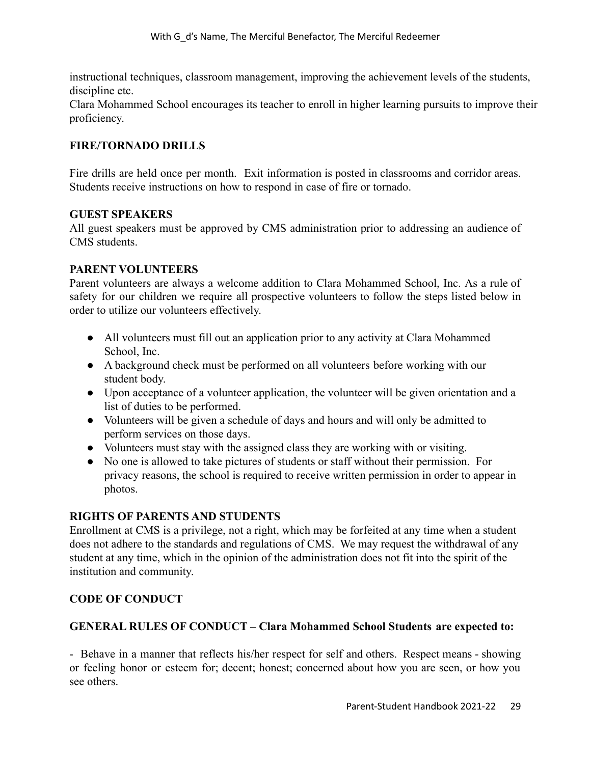instructional techniques, classroom management, improving the achievement levels of the students, discipline etc.

Clara Mohammed School encourages its teacher to enroll in higher learning pursuits to improve their proficiency.

#### **FIRE/TORNADO DRILLS**

Fire drills are held once per month. Exit information is posted in classrooms and corridor areas. Students receive instructions on how to respond in case of fire or tornado.

#### **GUEST SPEAKERS**

All guest speakers must be approved by CMS administration prior to addressing an audience of CMS students.

#### **PARENT VOLUNTEERS**

Parent volunteers are always a welcome addition to Clara Mohammed School, Inc. As a rule of safety for our children we require all prospective volunteers to follow the steps listed below in order to utilize our volunteers effectively.

- All volunteers must fill out an application prior to any activity at Clara Mohammed School, Inc.
- A background check must be performed on all volunteers before working with our student body.
- Upon acceptance of a volunteer application, the volunteer will be given orientation and a list of duties to be performed.
- Volunteers will be given a schedule of days and hours and will only be admitted to perform services on those days.
- Volunteers must stay with the assigned class they are working with or visiting.
- No one is allowed to take pictures of students or staff without their permission. For privacy reasons, the school is required to receive written permission in order to appear in photos.

#### **RIGHTS OF PARENTS AND STUDENTS**

Enrollment at CMS is a privilege, not a right, which may be forfeited at any time when a student does not adhere to the standards and regulations of CMS. We may request the withdrawal of any student at any time, which in the opinion of the administration does not fit into the spirit of the institution and community.

#### **CODE OF CONDUCT**

#### **GENERAL RULES OF CONDUCT – Clara Mohammed School Students are expected to:**

- Behave in a manner that reflects his/her respect for self and others. Respect means - showing or feeling honor or esteem for; decent; honest; concerned about how you are seen, or how you see others.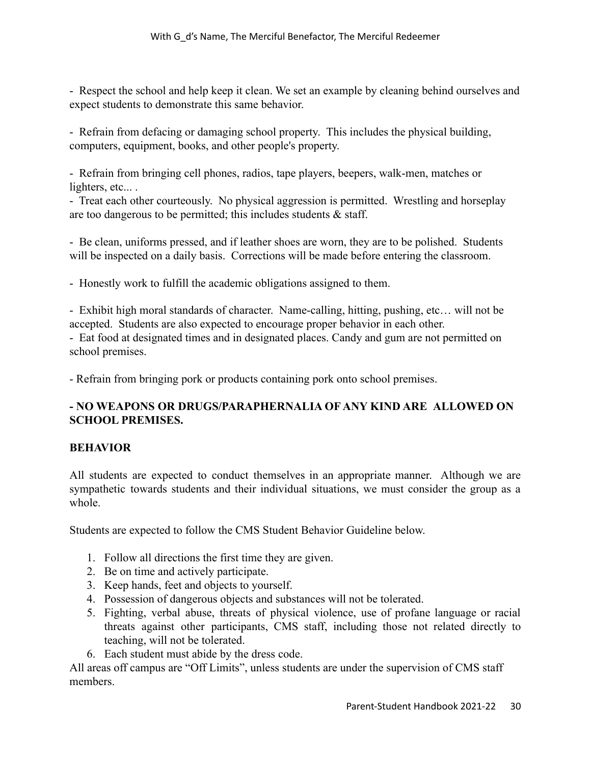- Respect the school and help keep it clean. We set an example by cleaning behind ourselves and expect students to demonstrate this same behavior.

- Refrain from defacing or damaging school property. This includes the physical building, computers, equipment, books, and other people's property.

- Refrain from bringing cell phones, radios, tape players, beepers, walk-men, matches or lighters, etc....

- Treat each other courteously. No physical aggression is permitted. Wrestling and horseplay are too dangerous to be permitted; this includes students & staff.

- Be clean, uniforms pressed, and if leather shoes are worn, they are to be polished. Students will be inspected on a daily basis. Corrections will be made before entering the classroom.

- Honestly work to fulfill the academic obligations assigned to them.

- Exhibit high moral standards of character. Name-calling, hitting, pushing, etc… will not be accepted. Students are also expected to encourage proper behavior in each other.

- Eat food at designated times and in designated places. Candy and gum are not permitted on school premises.

- Refrain from bringing pork or products containing pork onto school premises.

# **- NO WEAPONS OR DRUGS/PARAPHERNALIA OF ANY KIND ARE ALLOWED ON SCHOOL PREMISES.**

#### **BEHAVIOR**

All students are expected to conduct themselves in an appropriate manner. Although we are sympathetic towards students and their individual situations, we must consider the group as a whole.

Students are expected to follow the CMS Student Behavior Guideline below.

- 1. Follow all directions the first time they are given.
- 2. Be on time and actively participate.
- 3. Keep hands, feet and objects to yourself.
- 4. Possession of dangerous objects and substances will not be tolerated.
- 5. Fighting, verbal abuse, threats of physical violence, use of profane language or racial threats against other participants, CMS staff, including those not related directly to teaching, will not be tolerated.
- 6. Each student must abide by the dress code.

All areas off campus are "Off Limits", unless students are under the supervision of CMS staff members.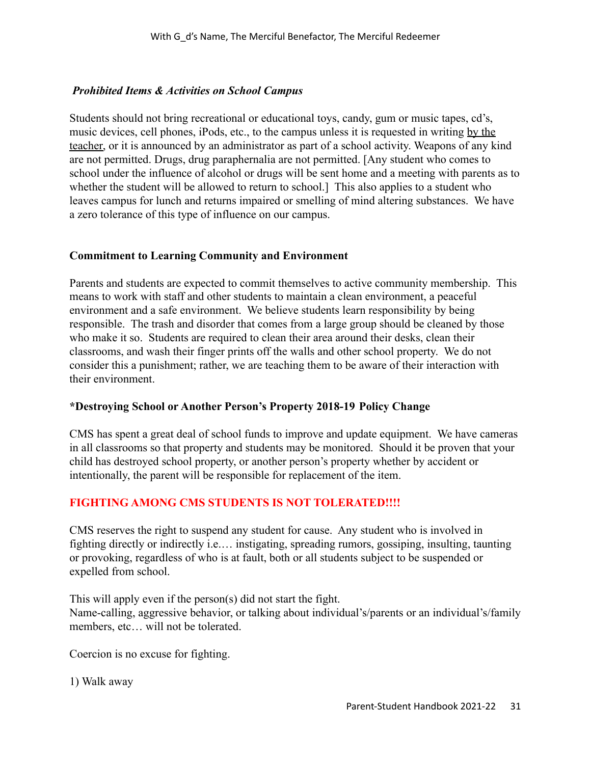## *Prohibited Items & Activities on School Campus*

Students should not bring recreational or educational toys, candy, gum or music tapes, cd's, music devices, cell phones, iPods, etc., to the campus unless it is requested in writing by the teacher, or it is announced by an administrator as part of a school activity. Weapons of any kind are not permitted. Drugs, drug paraphernalia are not permitted. [Any student who comes to school under the influence of alcohol or drugs will be sent home and a meeting with parents as to whether the student will be allowed to return to school. This also applies to a student who leaves campus for lunch and returns impaired or smelling of mind altering substances. We have a zero tolerance of this type of influence on our campus.

#### **Commitment to Learning Community and Environment**

Parents and students are expected to commit themselves to active community membership. This means to work with staff and other students to maintain a clean environment, a peaceful environment and a safe environment. We believe students learn responsibility by being responsible. The trash and disorder that comes from a large group should be cleaned by those who make it so. Students are required to clean their area around their desks, clean their classrooms, and wash their finger prints off the walls and other school property. We do not consider this a punishment; rather, we are teaching them to be aware of their interaction with their environment.

#### **\*Destroying School or Another Person's Property 2018-19 Policy Change**

CMS has spent a great deal of school funds to improve and update equipment. We have cameras in all classrooms so that property and students may be monitored. Should it be proven that your child has destroyed school property, or another person's property whether by accident or intentionally, the parent will be responsible for replacement of the item.

#### **FIGHTING AMONG CMS STUDENTS IS NOT TOLERATED!!!!**

CMS reserves the right to suspend any student for cause. Any student who is involved in fighting directly or indirectly i.e.… instigating, spreading rumors, gossiping, insulting, taunting or provoking, regardless of who is at fault, both or all students subject to be suspended or expelled from school.

This will apply even if the person(s) did not start the fight. Name-calling, aggressive behavior, or talking about individual's/parents or an individual's/family members, etc… will not be tolerated.

Coercion is no excuse for fighting.

1) Walk away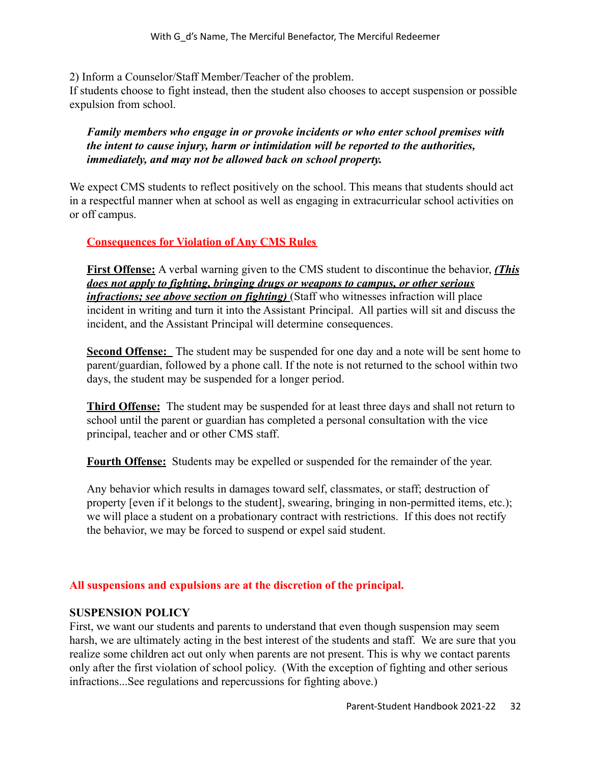2) Inform a Counselor/Staff Member/Teacher of the problem.

If students choose to fight instead, then the student also chooses to accept suspension or possible expulsion from school.

*Family members who engage in or provoke incidents or who enter school premises with the intent to cause injury, harm or intimidation will be reported to the authorities, immediately, and may not be allowed back on school property.*

We expect CMS students to reflect positively on the school. This means that students should act in a respectful manner when at school as well as engaging in extracurricular school activities on or off campus.

## **Consequences for Violation of Any CMS Rules**

**First Offense:** A verbal warning given to the CMS student to discontinue the behavior, *(This does not apply to fighting, bringing drugs or weapons to campus, or other serious infractions; see above section on fighting)* (Staff who witnesses infraction will place incident in writing and turn it into the Assistant Principal. All parties will sit and discuss the incident, and the Assistant Principal will determine consequences.

**Second Offense:** The student may be suspended for one day and a note will be sent home to parent/guardian, followed by a phone call. If the note is not returned to the school within two days, the student may be suspended for a longer period.

**Third Offense:** The student may be suspended for at least three days and shall not return to school until the parent or guardian has completed a personal consultation with the vice principal, teacher and or other CMS staff.

**Fourth Offense:** Students may be expelled or suspended for the remainder of the year.

Any behavior which results in damages toward self, classmates, or staff; destruction of property [even if it belongs to the student], swearing, bringing in non-permitted items, etc.); we will place a student on a probationary contract with restrictions. If this does not rectify the behavior, we may be forced to suspend or expel said student.

# **All suspensions and expulsions are at the discretion of the principal.**

#### **SUSPENSION POLICY**

First, we want our students and parents to understand that even though suspension may seem harsh, we are ultimately acting in the best interest of the students and staff. We are sure that you realize some children act out only when parents are not present. This is why we contact parents only after the first violation of school policy. (With the exception of fighting and other serious infractions...See regulations and repercussions for fighting above.)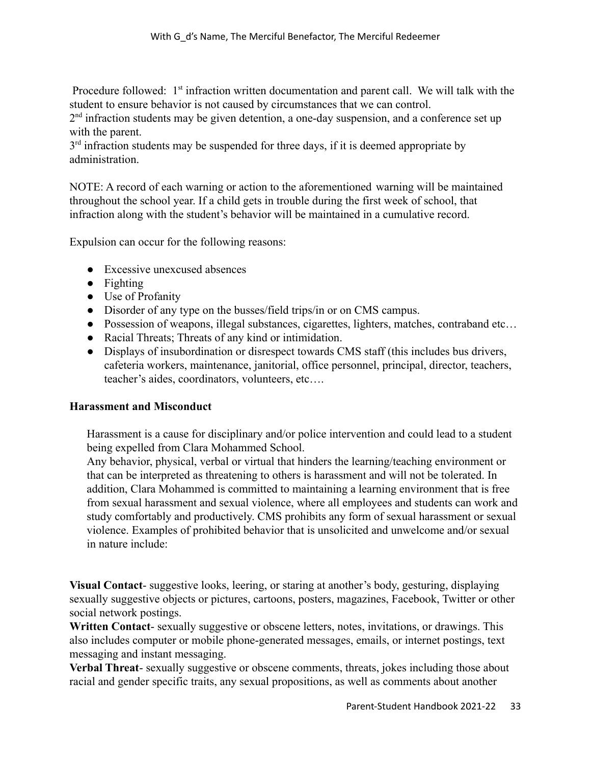Procedure followed:  $1<sup>st</sup>$  infraction written documentation and parent call. We will talk with the student to ensure behavior is not caused by circumstances that we can control.

 $2<sup>nd</sup>$  infraction students may be given detention, a one-day suspension, and a conference set up with the parent.

 $3<sup>rd</sup>$  infraction students may be suspended for three days, if it is deemed appropriate by administration.

NOTE: A record of each warning or action to the aforementioned warning will be maintained throughout the school year. If a child gets in trouble during the first week of school, that infraction along with the student's behavior will be maintained in a cumulative record.

Expulsion can occur for the following reasons:

- Excessive unexcused absences
- Fighting
- Use of Profanity
- Disorder of any type on the busses/field trips/in or on CMS campus.
- Possession of weapons, illegal substances, cigarettes, lighters, matches, contraband etc...
- Racial Threats; Threats of any kind or intimidation.
- Displays of insubordination or disrespect towards CMS staff (this includes bus drivers, cafeteria workers, maintenance, janitorial, office personnel, principal, director, teachers, teacher's aides, coordinators, volunteers, etc….

#### **Harassment and Misconduct**

Harassment is a cause for disciplinary and/or police intervention and could lead to a student being expelled from Clara Mohammed School.

Any behavior, physical, verbal or virtual that hinders the learning/teaching environment or that can be interpreted as threatening to others is harassment and will not be tolerated. In addition, Clara Mohammed is committed to maintaining a learning environment that is free from sexual harassment and sexual violence, where all employees and students can work and study comfortably and productively. CMS prohibits any form of sexual harassment or sexual violence. Examples of prohibited behavior that is unsolicited and unwelcome and/or sexual in nature include:

**Visual Contact**- suggestive looks, leering, or staring at another's body, gesturing, displaying sexually suggestive objects or pictures, cartoons, posters, magazines, Facebook, Twitter or other social network postings.

**Written Contact**- sexually suggestive or obscene letters, notes, invitations, or drawings. This also includes computer or mobile phone-generated messages, emails, or internet postings, text messaging and instant messaging.

**Verbal Threat**- sexually suggestive or obscene comments, threats, jokes including those about racial and gender specific traits, any sexual propositions, as well as comments about another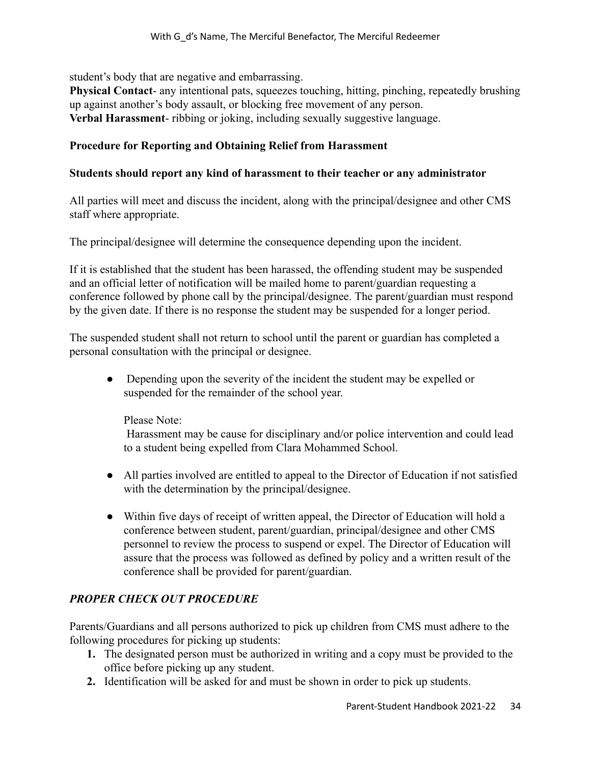student's body that are negative and embarrassing.

**Physical Contact**- any intentional pats, squeezes touching, hitting, pinching, repeatedly brushing up against another's body assault, or blocking free movement of any person. **Verbal Harassment**- ribbing or joking, including sexually suggestive language.

#### **Procedure for Reporting and Obtaining Relief from Harassment**

#### **Students should report any kind of harassment to their teacher or any administrator**

All parties will meet and discuss the incident, along with the principal/designee and other CMS staff where appropriate.

The principal/designee will determine the consequence depending upon the incident.

If it is established that the student has been harassed, the offending student may be suspended and an official letter of notification will be mailed home to parent/guardian requesting a conference followed by phone call by the principal/designee. The parent/guardian must respond by the given date. If there is no response the student may be suspended for a longer period.

The suspended student shall not return to school until the parent or guardian has completed a personal consultation with the principal or designee.

• Depending upon the severity of the incident the student may be expelled or suspended for the remainder of the school year.

Please Note:

Harassment may be cause for disciplinary and/or police intervention and could lead to a student being expelled from Clara Mohammed School.

- All parties involved are entitled to appeal to the Director of Education if not satisfied with the determination by the principal/designee.
- Within five days of receipt of written appeal, the Director of Education will hold a conference between student, parent/guardian, principal/designee and other CMS personnel to review the process to suspend or expel. The Director of Education will assure that the process was followed as defined by policy and a written result of the conference shall be provided for parent/guardian.

# *PROPER CHECK OUT PROCEDURE*

Parents/Guardians and all persons authorized to pick up children from CMS must adhere to the following procedures for picking up students:

- **1.** The designated person must be authorized in writing and a copy must be provided to the office before picking up any student.
- **2.** Identification will be asked for and must be shown in order to pick up students.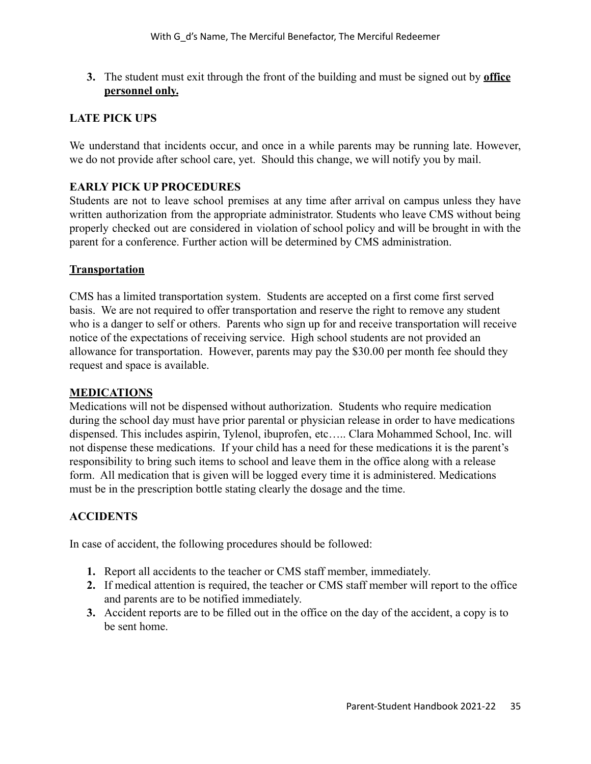**3.** The student must exit through the front of the building and must be signed out by **office personnel only.**

## **LATE PICK UPS**

We understand that incidents occur, and once in a while parents may be running late. However, we do not provide after school care, yet. Should this change, we will notify you by mail.

## **EARLY PICK UP PROCEDURES**

Students are not to leave school premises at any time after arrival on campus unless they have written authorization from the appropriate administrator. Students who leave CMS without being properly checked out are considered in violation of school policy and will be brought in with the parent for a conference. Further action will be determined by CMS administration.

#### **Transportation**

CMS has a limited transportation system. Students are accepted on a first come first served basis. We are not required to offer transportation and reserve the right to remove any student who is a danger to self or others. Parents who sign up for and receive transportation will receive notice of the expectations of receiving service. High school students are not provided an allowance for transportation. However, parents may pay the \$30.00 per month fee should they request and space is available.

#### **MEDICATIONS**

Medications will not be dispensed without authorization. Students who require medication during the school day must have prior parental or physician release in order to have medications dispensed. This includes aspirin, Tylenol, ibuprofen, etc….. Clara Mohammed School, Inc. will not dispense these medications. If your child has a need for these medications it is the parent's responsibility to bring such items to school and leave them in the office along with a release form. All medication that is given will be logged every time it is administered. Medications must be in the prescription bottle stating clearly the dosage and the time.

#### **ACCIDENTS**

In case of accident, the following procedures should be followed:

- **1.** Report all accidents to the teacher or CMS staff member, immediately.
- **2.** If medical attention is required, the teacher or CMS staff member will report to the office and parents are to be notified immediately.
- **3.** Accident reports are to be filled out in the office on the day of the accident, a copy is to be sent home.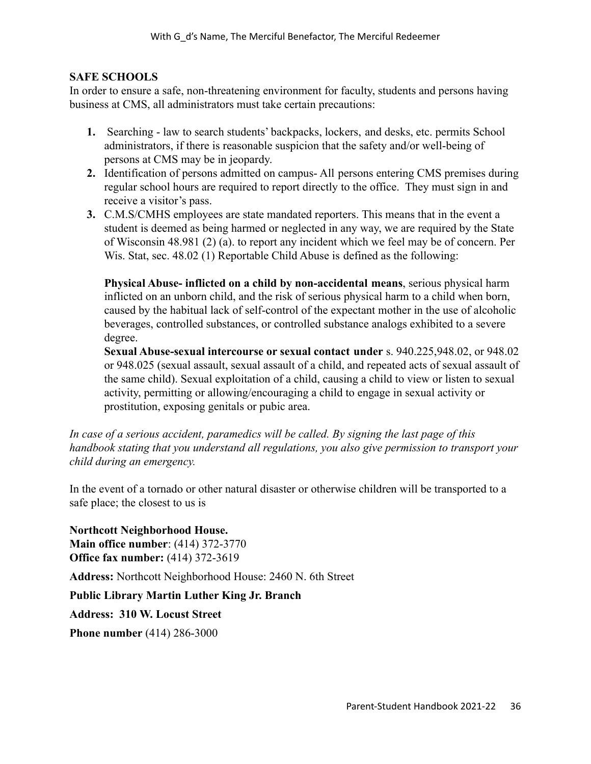## **SAFE SCHOOLS**

In order to ensure a safe, non-threatening environment for faculty, students and persons having business at CMS, all administrators must take certain precautions:

- **1.** Searching law to search students' backpacks, lockers, and desks, etc. permits School administrators, if there is reasonable suspicion that the safety and/or well-being of persons at CMS may be in jeopardy.
- **2.** Identification of persons admitted on campus- All persons entering CMS premises during regular school hours are required to report directly to the office. They must sign in and receive a visitor's pass.
- **3.** C.M.S/CMHS employees are state mandated reporters. This means that in the event a student is deemed as being harmed or neglected in any way, we are required by the State of Wisconsin 48.981 (2) (a). to report any incident which we feel may be of concern. Per Wis. Stat, sec. 48.02 (1) Reportable Child Abuse is defined as the following:

**Physical Abuse- inflicted on a child by non-accidental means**, serious physical harm inflicted on an unborn child, and the risk of serious physical harm to a child when born, caused by the habitual lack of self-control of the expectant mother in the use of alcoholic beverages, controlled substances, or controlled substance analogs exhibited to a severe degree.

**Sexual Abuse-sexual intercourse or sexual contact under** s. 940.225,948.02, or 948.02 or 948.025 (sexual assault, sexual assault of a child, and repeated acts of sexual assault of the same child). Sexual exploitation of a child, causing a child to view or listen to sexual activity, permitting or allowing/encouraging a child to engage in sexual activity or prostitution, exposing genitals or pubic area.

*In case of a serious accident, paramedics will be called. By signing the last page of this handbook stating that you understand all regulations, you also give permission to transport your child during an emergency.*

In the event of a tornado or other natural disaster or otherwise children will be transported to a safe place; the closest to us is

**Northcott Neighborhood House. Main office number**: (414) 372-3770 **Office fax number:** (414) 372-3619

**Address:** Northcott Neighborhood House: 2460 N. 6th Street

**Public Library Martin Luther King Jr. Branch**

**Address: 310 W. Locust Street**

**Phone number** [\(414\) 286-3000](https://www.google.com/search?q=library&rlz=1C1SXXQ_enUS709US710&oq=library&aqs=chrome..69i57j0l2j69i61j69i65l2.2159j0j7&sourceid=chrome&ie=UTF-8&newwindow=1&safe=active&npsic=0&rflfq=1&rlha=0&rllag=43071494,-87923068,2106&tbm=lcl&rldimm=13880391744152118999&ved=2ahUKEwii5oLmm8vjAhUDvKwKHckBDm0QvS4wAHoECAoQFg&rldoc=1&tbs=lrf:!2m1!1e3!3sIAE,lf:1,lf_ui:3#)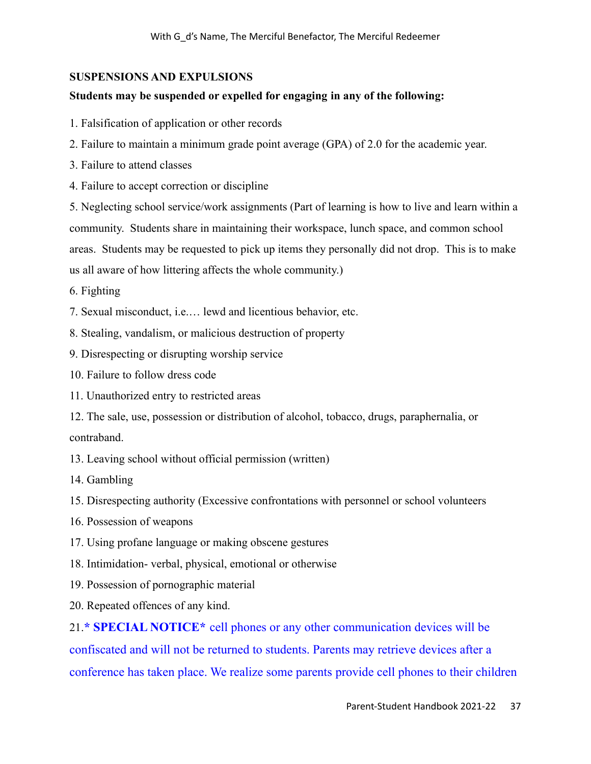## **SUSPENSIONS AND EXPULSIONS**

#### **Students may be suspended or expelled for engaging in any of the following:**

- 1. Falsification of application or other records
- 2. Failure to maintain a minimum grade point average (GPA) of 2.0 for the academic year.
- 3. Failure to attend classes
- 4. Failure to accept correction or discipline

5. Neglecting school service/work assignments (Part of learning is how to live and learn within a community. Students share in maintaining their workspace, lunch space, and common school areas. Students may be requested to pick up items they personally did not drop. This is to make us all aware of how littering affects the whole community.)

- 6. Fighting
- 7. Sexual misconduct, i.e.… lewd and licentious behavior, etc.
- 8. Stealing, vandalism, or malicious destruction of property
- 9. Disrespecting or disrupting worship service
- 10. Failure to follow dress code
- 11. Unauthorized entry to restricted areas
- 12. The sale, use, possession or distribution of alcohol, tobacco, drugs, paraphernalia, or contraband.
- 13. Leaving school without official permission (written)
- 14. Gambling
- 15. Disrespecting authority (Excessive confrontations with personnel or school volunteers
- 16. Possession of weapons
- 17. Using profane language or making obscene gestures
- 18. Intimidation- verbal, physical, emotional or otherwise
- 19. Possession of pornographic material
- 20. Repeated offences of any kind.

21.**\* SPECIAL NOTICE\*** cell phones or any other communication devices will be confiscated and will not be returned to students. Parents may retrieve devices after a conference has taken place. We realize some parents provide cell phones to their children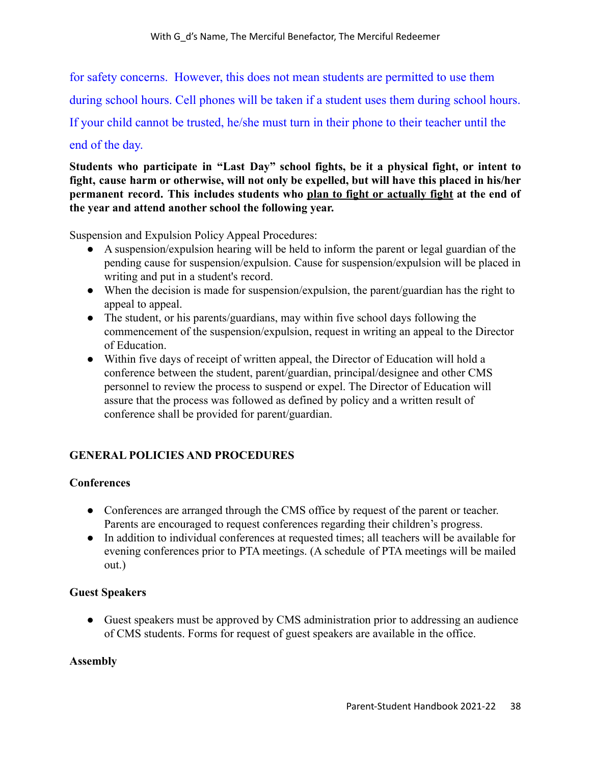for safety concerns. However, this does not mean students are permitted to use them

during school hours. Cell phones will be taken if a student uses them during school hours.

If your child cannot be trusted, he/she must turn in their phone to their teacher until the

# end of the day.

**Students who participate in "Last Day" school fights, be it a physical fight, or intent to fight, cause harm or otherwise, will not only be expelled, but will have this placed in his/her permanent record. This includes students who plan to fight or actually fight at the end of the year and attend another school the following year.**

Suspension and Expulsion Policy Appeal Procedures:

- A suspension/expulsion hearing will be held to inform the parent or legal guardian of the pending cause for suspension/expulsion. Cause for suspension/expulsion will be placed in writing and put in a student's record.
- When the decision is made for suspension/expulsion, the parent/guardian has the right to appeal to appeal.
- The student, or his parents/guardians, may within five school days following the commencement of the suspension/expulsion, request in writing an appeal to the Director of Education.
- Within five days of receipt of written appeal, the Director of Education will hold a conference between the student, parent/guardian, principal/designee and other CMS personnel to review the process to suspend or expel. The Director of Education will assure that the process was followed as defined by policy and a written result of conference shall be provided for parent/guardian.

# **GENERAL POLICIES AND PROCEDURES**

# **Conferences**

- Conferences are arranged through the CMS office by request of the parent or teacher. Parents are encouraged to request conferences regarding their children's progress.
- In addition to individual conferences at requested times; all teachers will be available for evening conferences prior to PTA meetings. (A schedule of PTA meetings will be mailed out.)

#### **Guest Speakers**

• Guest speakers must be approved by CMS administration prior to addressing an audience of CMS students. Forms for request of guest speakers are available in the office.

#### **Assembly**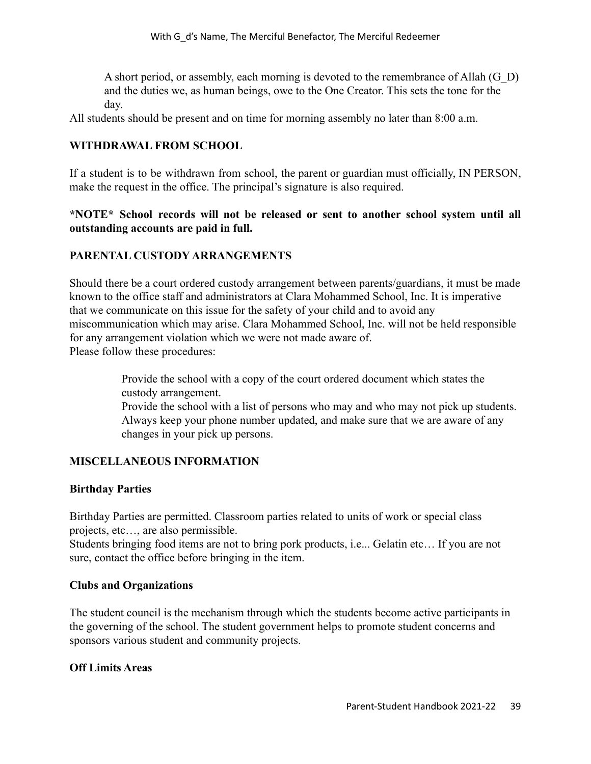A short period, or assembly, each morning is devoted to the remembrance of Allah (G\_D) and the duties we, as human beings, owe to the One Creator. This sets the tone for the day.

All students should be present and on time for morning assembly no later than 8:00 a.m.

#### **WITHDRAWAL FROM SCHOOL**

If a student is to be withdrawn from school, the parent or guardian must officially, IN PERSON, make the request in the office. The principal's signature is also required.

#### **\*NOTE\* School records will not be released or sent to another school system until all outstanding accounts are paid in full.**

#### **PARENTAL CUSTODY ARRANGEMENTS**

Should there be a court ordered custody arrangement between parents/guardians, it must be made known to the office staff and administrators at Clara Mohammed School, Inc. It is imperative that we communicate on this issue for the safety of your child and to avoid any miscommunication which may arise. Clara Mohammed School, Inc. will not be held responsible for any arrangement violation which we were not made aware of. Please follow these procedures:

> Provide the school with a copy of the court ordered document which states the custody arrangement.

Provide the school with a list of persons who may and who may not pick up students. Always keep your phone number updated, and make sure that we are aware of any changes in your pick up persons.

#### **MISCELLANEOUS INFORMATION**

#### **Birthday Parties**

Birthday Parties are permitted. Classroom parties related to units of work or special class projects, etc…, are also permissible.

Students bringing food items are not to bring pork products, i.e... Gelatin etc… If you are not sure, contact the office before bringing in the item.

#### **Clubs and Organizations**

The student council is the mechanism through which the students become active participants in the governing of the school. The student government helps to promote student concerns and sponsors various student and community projects.

#### **Off Limits Areas**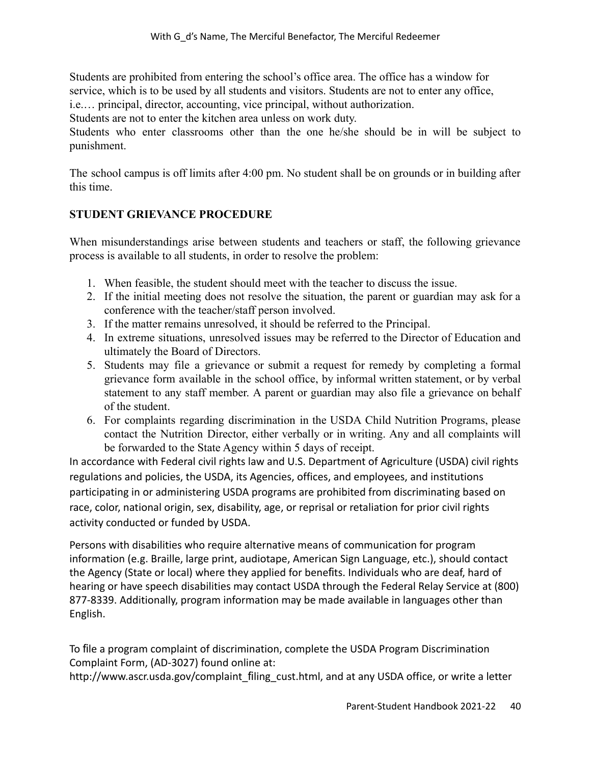Students are prohibited from entering the school's office area. The office has a window for service, which is to be used by all students and visitors. Students are not to enter any office, i.e.… principal, director, accounting, vice principal, without authorization.

Students are not to enter the kitchen area unless on work duty.

Students who enter classrooms other than the one he/she should be in will be subject to punishment.

The school campus is off limits after 4:00 pm. No student shall be on grounds or in building after this time.

# **STUDENT GRIEVANCE PROCEDURE**

When misunderstandings arise between students and teachers or staff, the following grievance process is available to all students, in order to resolve the problem:

- 1. When feasible, the student should meet with the teacher to discuss the issue.
- 2. If the initial meeting does not resolve the situation, the parent or guardian may ask for a conference with the teacher/staff person involved.
- 3. If the matter remains unresolved, it should be referred to the Principal.
- 4. In extreme situations, unresolved issues may be referred to the Director of Education and ultimately the Board of Directors.
- 5. Students may file a grievance or submit a request for remedy by completing a formal grievance form available in the school office, by informal written statement, or by verbal statement to any staff member. A parent or guardian may also file a grievance on behalf of the student.
- 6. For complaints regarding discrimination in the USDA Child Nutrition Programs, please contact the Nutrition Director, either verbally or in writing. Any and all complaints will be forwarded to the State Agency within 5 days of receipt.

In accordance with Federal civil rights law and U.S. Department of Agriculture (USDA) civil rights regulations and policies, the USDA, its Agencies, offices, and employees, and institutions participating in or administering USDA programs are prohibited from discriminating based on race, color, national origin, sex, disability, age, or reprisal or retaliation for prior civil rights activity conducted or funded by USDA.

Persons with disabilities who require alternative means of communication for program information (e.g. Braille, large print, audiotape, American Sign Language, etc.), should contact the Agency (State or local) where they applied for benefits. Individuals who are deaf, hard of hearing or have speech disabilities may contact USDA through the Federal Relay Service at (800) 877-8339. Additionally, program information may be made available in languages other than English.

To file a program complaint of discrimination, complete the USDA Program Discrimination Complaint Form, (AD-3027) found online at:

http://www.ascr.usda.gov/complaint\_filing\_cust.html, and at any USDA office, or write a letter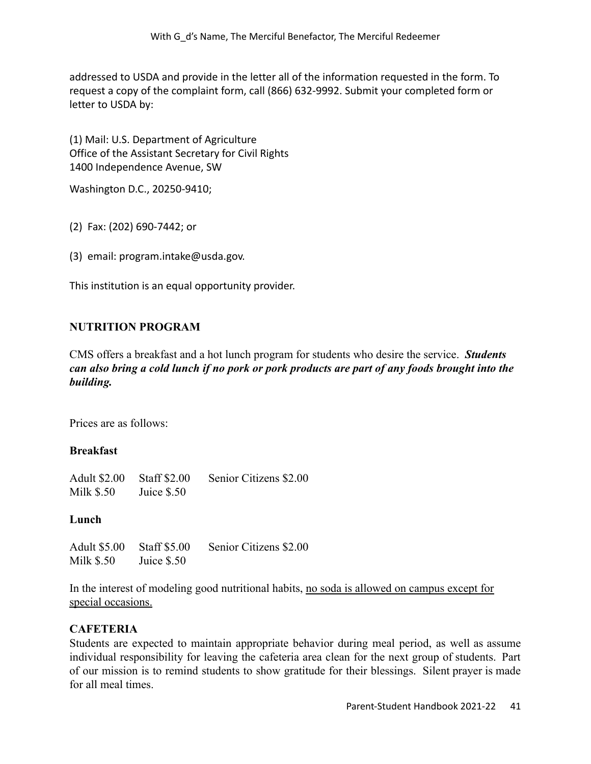addressed to USDA and provide in the letter all of the information requested in the form. To request a copy of the complaint form, call (866) 632-9992. Submit your completed form or letter to USDA by:

(1) Mail: U.S. Department of Agriculture Office of the Assistant Secretary for Civil Rights 1400 Independence Avenue, SW

Washington D.C., 20250-9410;

(2) Fax: (202) 690-7442; or

(3) email: program.intake@usda.gov.

This institution is an equal opportunity provider.

#### **NUTRITION PROGRAM**

CMS offers a breakfast and a hot lunch program for students who desire the service. *Students can also bring a cold lunch if no pork or pork products are part of any foods brought into the building.*

Prices are as follows:

#### **Breakfast**

Adult \$2.00 Staff \$2.00 Senior Citizens \$2.00 Milk \$.50 Juice \$.50

#### **Lunch**

Adult \$5.00 Staff \$5.00 Senior Citizens \$2.00 Milk  $$.50$  Juice  $$.50$ 

In the interest of modeling good nutritional habits, no soda is allowed on campus except for special occasions.

#### **CAFETERIA**

Students are expected to maintain appropriate behavior during meal period, as well as assume individual responsibility for leaving the cafeteria area clean for the next group of students. Part of our mission is to remind students to show gratitude for their blessings. Silent prayer is made for all meal times.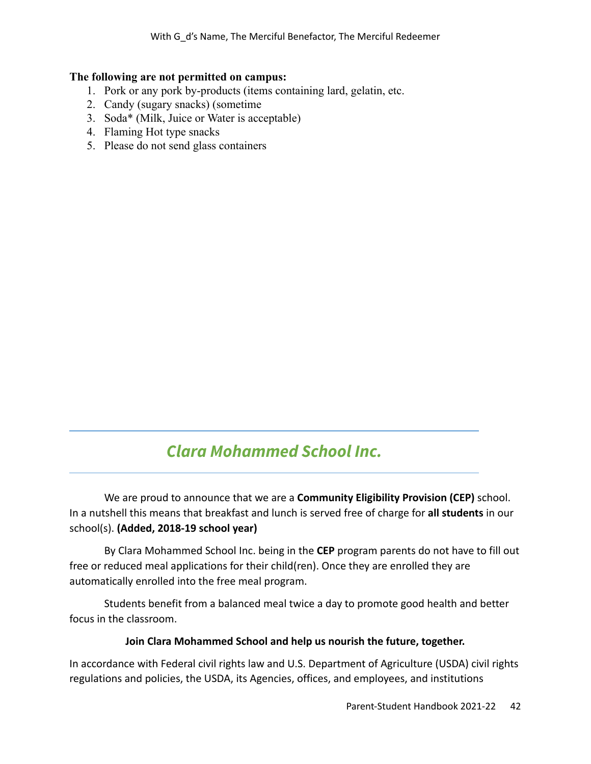#### **The following are not permitted on campus:**

- 1. Pork or any pork by-products (items containing lard, gelatin, etc.
- 2. Candy (sugary snacks) (sometime
- 3. Soda\* (Milk, Juice or Water is acceptable)
- 4. Flaming Hot type snacks
- 5. Please do not send glass containers

# *Clara Mohammed School Inc.*

We are proud to announce that we are a **Community Eligibility Provision (CEP)** school. In a nutshell this means that breakfast and lunch is served free of charge for **all students** in our school(s). **(Added, 2018-19 school year)**

By Clara Mohammed School Inc. being in the **CEP** program parents do not have to fill out free or reduced meal applications for their child(ren). Once they are enrolled they are automatically enrolled into the free meal program.

Students benefit from a balanced meal twice a day to promote good health and better focus in the classroom.

#### **Join Clara Mohammed School and help us nourish the future, together.**

In accordance with Federal civil rights law and U.S. Department of Agriculture (USDA) civil rights regulations and policies, the USDA, its Agencies, offices, and employees, and institutions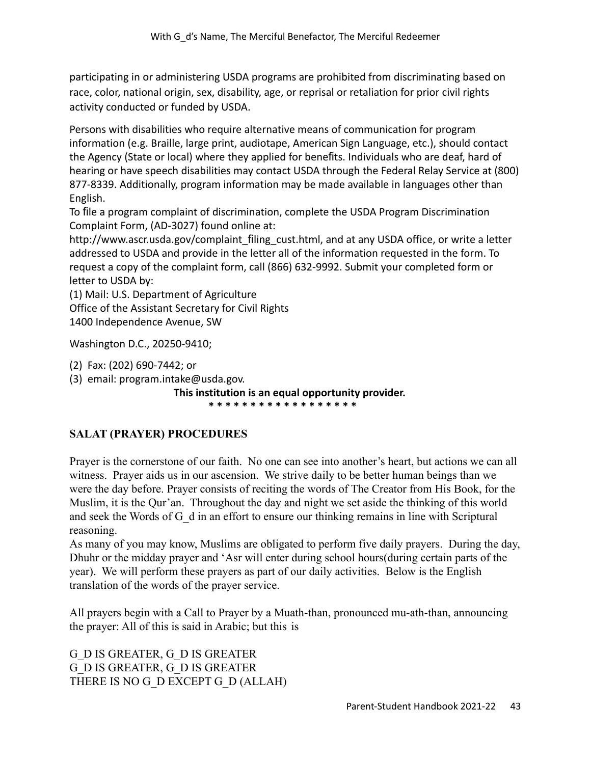participating in or administering USDA programs are prohibited from discriminating based on race, color, national origin, sex, disability, age, or reprisal or retaliation for prior civil rights activity conducted or funded by USDA.

Persons with disabilities who require alternative means of communication for program information (e.g. Braille, large print, audiotape, American Sign Language, etc.), should contact the Agency (State or local) where they applied for benefits. Individuals who are deaf, hard of hearing or have speech disabilities may contact USDA through the Federal Relay Service at (800) 877-8339. Additionally, program information may be made available in languages other than English.

To file a program complaint of discrimination, complete the USDA Program Discrimination Complaint Form, (AD-3027) found online at:

http://www.ascr.usda.gov/complaint\_filing\_cust.html, and at any USDA office, or write a letter addressed to USDA and provide in the letter all of the information requested in the form. To request a copy of the complaint form, call (866) 632-9992. Submit your completed form or letter to USDA by:

(1) Mail: U.S. Department of Agriculture Office of the Assistant Secretary for Civil Rights 1400 Independence Avenue, SW

Washington D.C., 20250-9410;

(2) Fax: (202) 690-7442; or

(3) email: program.intake@usda.gov.

**This institution is an equal opportunity provider.**

**\* \* \* \* \* \* \* \* \* \* \* \* \* \* \* \* \* \***

# **SALAT (PRAYER) PROCEDURES**

Prayer is the cornerstone of our faith. No one can see into another's heart, but actions we can all witness. Prayer aids us in our ascension. We strive daily to be better human beings than we were the day before. Prayer consists of reciting the words of The Creator from His Book, for the Muslim, it is the Qur'an. Throughout the day and night we set aside the thinking of this world and seek the Words of G\_d in an effort to ensure our thinking remains in line with Scriptural reasoning.

As many of you may know, Muslims are obligated to perform five daily prayers. During the day, Dhuhr or the midday prayer and 'Asr will enter during school hours(during certain parts of the year). We will perform these prayers as part of our daily activities. Below is the English translation of the words of the prayer service.

All prayers begin with a Call to Prayer by a Muath-than, pronounced mu-ath-than, announcing the prayer: All of this is said in Arabic; but this is

G\_D IS GREATER, G\_D IS GREATER G\_D IS GREATER, G\_D IS GREATER THERE IS NO G\_D EXCEPT G\_D (ALLAH)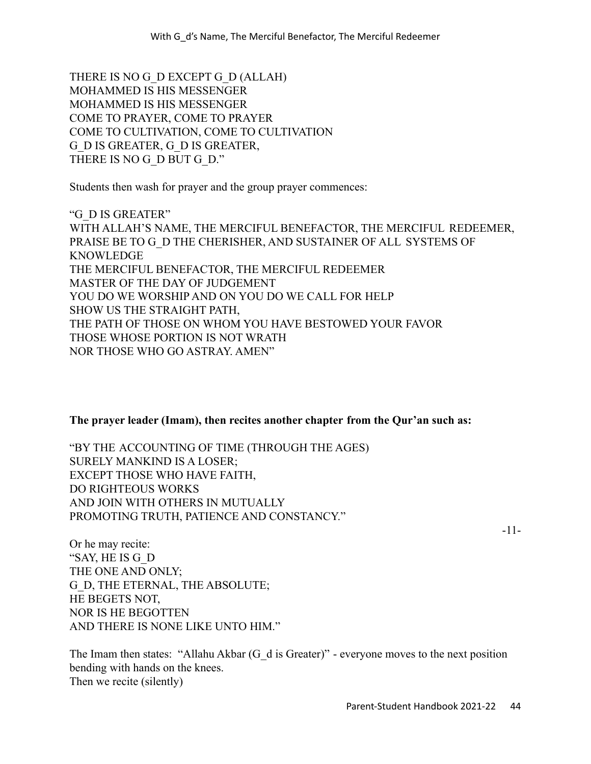THERE IS NO G\_D EXCEPT G\_D (ALLAH) MOHAMMED IS HIS MESSENGER MOHAMMED IS HIS MESSENGER COME TO PRAYER, COME TO PRAYER COME TO CULTIVATION, COME TO CULTIVATION G\_D IS GREATER, G\_D IS GREATER, THERE IS NO G\_D BUT G\_D."

Students then wash for prayer and the group prayer commences:

"G\_D IS GREATER" WITH ALLAH'S NAME, THE MERCIFUL BENEFACTOR, THE MERCIFUL REDEEMER, PRAISE BE TO G\_D THE CHERISHER, AND SUSTAINER OF ALL SYSTEMS OF **KNOWLEDGE** THE MERCIFUL BENEFACTOR, THE MERCIFUL REDEEMER MASTER OF THE DAY OF JUDGEMENT YOU DO WE WORSHIP AND ON YOU DO WE CALL FOR HELP SHOW US THE STRAIGHT PATH, THE PATH OF THOSE ON WHOM YOU HAVE BESTOWED YOUR FAVOR THOSE WHOSE PORTION IS NOT WRATH NOR THOSE WHO GO ASTRAY. AMEN"

#### **The prayer leader (Imam), then recites another chapter from the Qur'an such as:**

"BY THE ACCOUNTING OF TIME (THROUGH THE AGES) SURELY MANKIND IS A LOSER; EXCEPT THOSE WHO HAVE FAITH, DO RIGHTEOUS WORKS AND JOIN WITH OTHERS IN MUTUALLY PROMOTING TRUTH, PATIENCE AND CONSTANCY."

-11-

Or he may recite: "SAY, HE IS G\_D THE ONE AND ONLY; G\_D, THE ETERNAL, THE ABSOLUTE; HE BEGETS NOT, NOR IS HE BEGOTTEN AND THERE IS NONE LIKE UNTO HIM."

The Imam then states: "Allahu Akbar  $(G_d$  is Greater)" - everyone moves to the next position bending with hands on the knees. Then we recite (silently)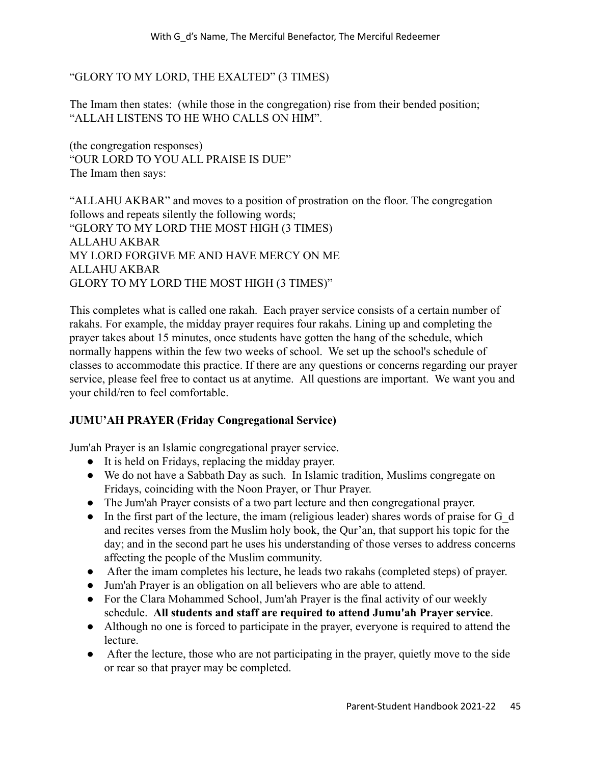## "GLORY TO MY LORD, THE EXALTED" (3 TIMES)

The Imam then states: (while those in the congregation) rise from their bended position; "ALLAH LISTENS TO HE WHO CALLS ON HIM".

(the congregation responses) "OUR LORD TO YOU ALL PRAISE IS DUE" The Imam then says:

"ALLAHU AKBAR" and moves to a position of prostration on the floor. The congregation follows and repeats silently the following words; "GLORY TO MY LORD THE MOST HIGH (3 TIMES) ALLAHU AKBAR MY LORD FORGIVE ME AND HAVE MERCY ON ME ALLAHU AKBAR GLORY TO MY LORD THE MOST HIGH (3 TIMES)"

This completes what is called one rakah. Each prayer service consists of a certain number of rakahs. For example, the midday prayer requires four rakahs. Lining up and completing the prayer takes about 15 minutes, once students have gotten the hang of the schedule, which normally happens within the few two weeks of school. We set up the school's schedule of classes to accommodate this practice. If there are any questions or concerns regarding our prayer service, please feel free to contact us at anytime. All questions are important. We want you and your child/ren to feel comfortable.

#### **JUMU'AH PRAYER (Friday Congregational Service)**

Jum'ah Prayer is an Islamic congregational prayer service.

- It is held on Fridays, replacing the midday prayer.
- We do not have a Sabbath Day as such. In Islamic tradition, Muslims congregate on Fridays, coinciding with the Noon Prayer, or Thur Prayer.
- The Jum'ah Prayer consists of a two part lecture and then congregational prayer.
- In the first part of the lecture, the imam (religious leader) shares words of praise for G\_d and recites verses from the Muslim holy book, the Qur'an, that support his topic for the day; and in the second part he uses his understanding of those verses to address concerns affecting the people of the Muslim community.
- After the imam completes his lecture, he leads two rakahs (completed steps) of prayer.
- Jum'ah Prayer is an obligation on all believers who are able to attend.
- For the Clara Mohammed School, Jum'ah Prayer is the final activity of our weekly schedule. **All students and staff are required to attend Jumu'ah Prayer service**.
- Although no one is forced to participate in the prayer, everyone is required to attend the lecture.
- After the lecture, those who are not participating in the prayer, quietly move to the side or rear so that prayer may be completed.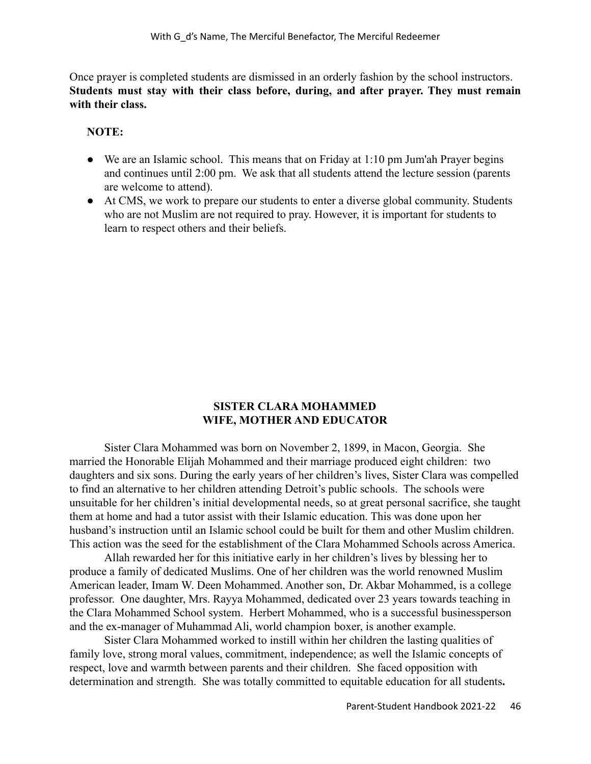Once prayer is completed students are dismissed in an orderly fashion by the school instructors. **Students must stay with their class before, during, and after prayer. They must remain with their class.**

#### **NOTE:**

- We are an Islamic school. This means that on Friday at 1:10 pm Jum'ah Prayer begins and continues until 2:00 pm. We ask that all students attend the lecture session (parents are welcome to attend).
- At CMS, we work to prepare our students to enter a diverse global community. Students who are not Muslim are not required to pray. However, it is important for students to learn to respect others and their beliefs.

#### **SISTER CLARA MOHAMMED WIFE, MOTHER AND EDUCATOR**

Sister Clara Mohammed was born on November 2, 1899, in Macon, Georgia. She married the Honorable Elijah Mohammed and their marriage produced eight children: two daughters and six sons. During the early years of her children's lives, Sister Clara was compelled to find an alternative to her children attending Detroit's public schools. The schools were unsuitable for her children's initial developmental needs, so at great personal sacrifice, she taught them at home and had a tutor assist with their Islamic education. This was done upon her husband's instruction until an Islamic school could be built for them and other Muslim children. This action was the seed for the establishment of the Clara Mohammed Schools across America.

Allah rewarded her for this initiative early in her children's lives by blessing her to produce a family of dedicated Muslims. One of her children was the world renowned Muslim American leader, Imam W. Deen Mohammed. Another son, Dr. Akbar Mohammed, is a college professor. One daughter, Mrs. Rayya Mohammed, dedicated over 23 years towards teaching in the Clara Mohammed School system. Herbert Mohammed, who is a successful businessperson and the ex-manager of Muhammad Ali, world champion boxer, is another example.

Sister Clara Mohammed worked to instill within her children the lasting qualities of family love, strong moral values, commitment, independence; as well the Islamic concepts of respect, love and warmth between parents and their children. She faced opposition with determination and strength. She was totally committed to equitable education for all students**.**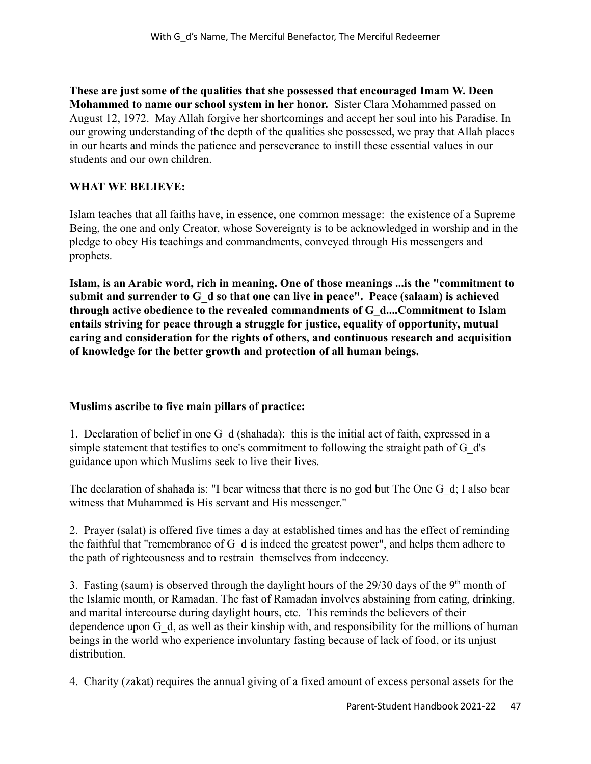**These are just some of the qualities that she possessed that encouraged Imam W. Deen Mohammed to name our school system in her honor.** Sister Clara Mohammed passed on August 12, 1972. May Allah forgive her shortcomings and accept her soul into his Paradise. In our growing understanding of the depth of the qualities she possessed, we pray that Allah places in our hearts and minds the patience and perseverance to instill these essential values in our students and our own children.

# **WHAT WE BELIEVE:**

Islam teaches that all faiths have, in essence, one common message: the existence of a Supreme Being, the one and only Creator, whose Sovereignty is to be acknowledged in worship and in the pledge to obey His teachings and commandments, conveyed through His messengers and prophets.

**Islam, is an Arabic word, rich in meaning. One of those meanings ...is the "commitment to submit and surrender to G\_d so that one can live in peace". Peace (salaam) is achieved through active obedience to the revealed commandments of G\_d....Commitment to Islam entails striving for peace through a struggle for justice, equality of opportunity, mutual caring and consideration for the rights of others, and continuous research and acquisition of knowledge for the better growth and protection of all human beings.**

# **Muslims ascribe to five main pillars of practice:**

1. Declaration of belief in one G\_d (shahada): this is the initial act of faith, expressed in a simple statement that testifies to one's commitment to following the straight path of G\_d's guidance upon which Muslims seek to live their lives.

The declaration of shahada is: "I bear witness that there is no god but The One G\_d; I also bear witness that Muhammed is His servant and His messenger."

2. Prayer (salat) is offered five times a day at established times and has the effect of reminding the faithful that "remembrance of G\_d is indeed the greatest power", and helps them adhere to the path of righteousness and to restrain themselves from indecency.

3. Fasting (saum) is observed through the daylight hours of the  $29/30$  days of the 9<sup>th</sup> month of the Islamic month, or Ramadan. The fast of Ramadan involves abstaining from eating, drinking, and marital intercourse during daylight hours, etc. This reminds the believers of their dependence upon G\_d, as well as their kinship with, and responsibility for the millions of human beings in the world who experience involuntary fasting because of lack of food, or its unjust distribution.

4. Charity (zakat) requires the annual giving of a fixed amount of excess personal assets for the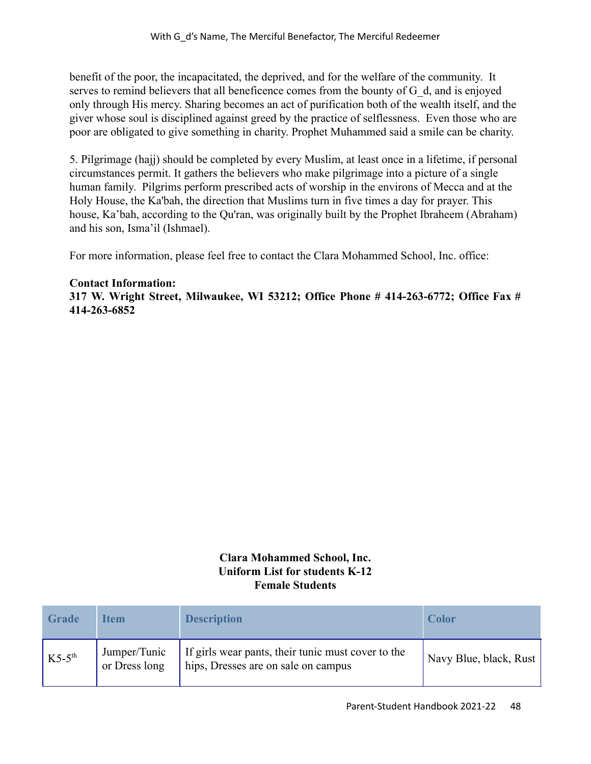benefit of the poor, the incapacitated, the deprived, and for the welfare of the community. It serves to remind believers that all beneficence comes from the bounty of G\_d, and is enjoyed only through His mercy. Sharing becomes an act of purification both of the wealth itself, and the giver whose soul is disciplined against greed by the practice of selflessness. Even those who are poor are obligated to give something in charity. Prophet Muhammed said a smile can be charity.

5. Pilgrimage (hajj) should be completed by every Muslim, at least once in a lifetime, if personal circumstances permit. It gathers the believers who make pilgrimage into a picture of a single human family. Pilgrims perform prescribed acts of worship in the environs of Mecca and at the Holy House, the Ka'bah, the direction that Muslims turn in five times a day for prayer. This house, Ka'bah, according to the Qu'ran, was originally built by the Prophet Ibraheem (Abraham) and his son, Isma'il (Ishmael).

For more information, please feel free to contact the Clara Mohammed School, Inc. office:

#### **Contact Information:**

**317 W. Wright Street, Milwaukee, WI 53212; Office Phone # 414-263-6772; Office Fax # 414-263-6852**

## **Clara Mohammed School, Inc. Uniform List for students K-12 Female Students**

| Grade              | <b>Item</b>                   | <b>Description</b>                                                                        | <b>Color</b>           |
|--------------------|-------------------------------|-------------------------------------------------------------------------------------------|------------------------|
| $K5-5^{\text{th}}$ | Jumper/Tunic<br>or Dress long | If girls wear pants, their tunic must cover to the<br>hips, Dresses are on sale on campus | Navy Blue, black, Rust |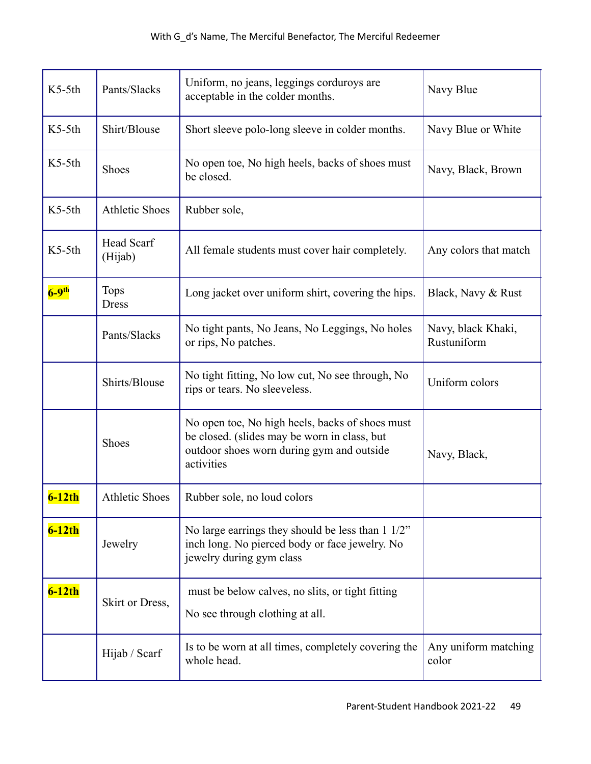| $K5-5th$            | Pants/Slacks                 | Uniform, no jeans, leggings corduroys are<br>acceptable in the colder months.                                                                              | Navy Blue                         |
|---------------------|------------------------------|------------------------------------------------------------------------------------------------------------------------------------------------------------|-----------------------------------|
| $K5-5th$            | Shirt/Blouse                 | Short sleeve polo-long sleeve in colder months.                                                                                                            | Navy Blue or White                |
| $K5-5th$            | <b>Shoes</b>                 | No open toe, No high heels, backs of shoes must<br>be closed.                                                                                              | Navy, Black, Brown                |
| $K5-5th$            | <b>Athletic Shoes</b>        | Rubber sole,                                                                                                                                               |                                   |
| $K5-5th$            | <b>Head Scarf</b><br>(Hijab) | All female students must cover hair completely.                                                                                                            | Any colors that match             |
| $6-9$ <sup>th</sup> | <b>Tops</b><br><b>Dress</b>  | Long jacket over uniform shirt, covering the hips.                                                                                                         | Black, Navy & Rust                |
|                     | Pants/Slacks                 | No tight pants, No Jeans, No Leggings, No holes<br>or rips, No patches.                                                                                    | Navy, black Khaki,<br>Rustuniform |
|                     | Shirts/Blouse                | No tight fitting, No low cut, No see through, No<br>rips or tears. No sleeveless.                                                                          | Uniform colors                    |
|                     | Shoes                        | No open toe, No high heels, backs of shoes must<br>be closed. (slides may be worn in class, but<br>outdoor shoes worn during gym and outside<br>activities | Navy, Black,                      |
| $6-12th$            | <b>Athletic Shoes</b>        | Rubber sole, no loud colors                                                                                                                                |                                   |
| $6-12th$            | Jewelry                      | No large earrings they should be less than $1\frac{1}{2}$ "<br>inch long. No pierced body or face jewelry. No<br>jewelry during gym class                  |                                   |
| $6-12th$            | Skirt or Dress,              | must be below calves, no slits, or tight fitting<br>No see through clothing at all.                                                                        |                                   |
|                     | Hijab / Scarf                | Is to be worn at all times, completely covering the<br>whole head.                                                                                         | Any uniform matching<br>color     |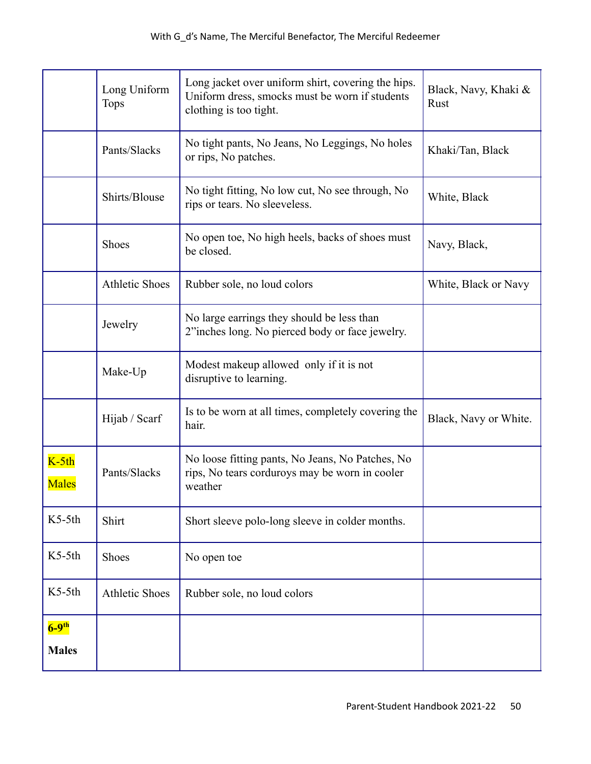|                                     | Long Uniform<br><b>Tops</b> | Long jacket over uniform shirt, covering the hips.<br>Uniform dress, smocks must be worn if students<br>clothing is too tight. | Black, Navy, Khaki &<br>Rust |
|-------------------------------------|-----------------------------|--------------------------------------------------------------------------------------------------------------------------------|------------------------------|
|                                     | Pants/Slacks                | No tight pants, No Jeans, No Leggings, No holes<br>or rips, No patches.                                                        | Khaki/Tan, Black             |
|                                     | Shirts/Blouse               | No tight fitting, No low cut, No see through, No<br>rips or tears. No sleeveless.                                              | White, Black                 |
|                                     | <b>Shoes</b>                | No open toe, No high heels, backs of shoes must<br>be closed.                                                                  | Navy, Black,                 |
|                                     | <b>Athletic Shoes</b>       | Rubber sole, no loud colors                                                                                                    | White, Black or Navy         |
|                                     | Jewelry                     | No large earrings they should be less than<br>2"inches long. No pierced body or face jewelry.                                  |                              |
|                                     | Make-Up                     | Modest makeup allowed only if it is not<br>disruptive to learning.                                                             |                              |
|                                     | Hijab / Scarf               | Is to be worn at all times, completely covering the<br>hair.                                                                   | Black, Navy or White.        |
| $K-5th$<br>Males                    | Pants/Slacks                | No loose fitting pants, No Jeans, No Patches, No<br>rips, No tears corduroys may be worn in cooler<br>weather                  |                              |
| $K5-5th$                            | Shirt                       | Short sleeve polo-long sleeve in colder months.                                                                                |                              |
| $K5-5th$                            | Shoes                       | No open toe                                                                                                                    |                              |
| $K5-5th$                            | <b>Athletic Shoes</b>       | Rubber sole, no loud colors                                                                                                    |                              |
| $6-9$ <sup>th</sup><br><b>Males</b> |                             |                                                                                                                                |                              |